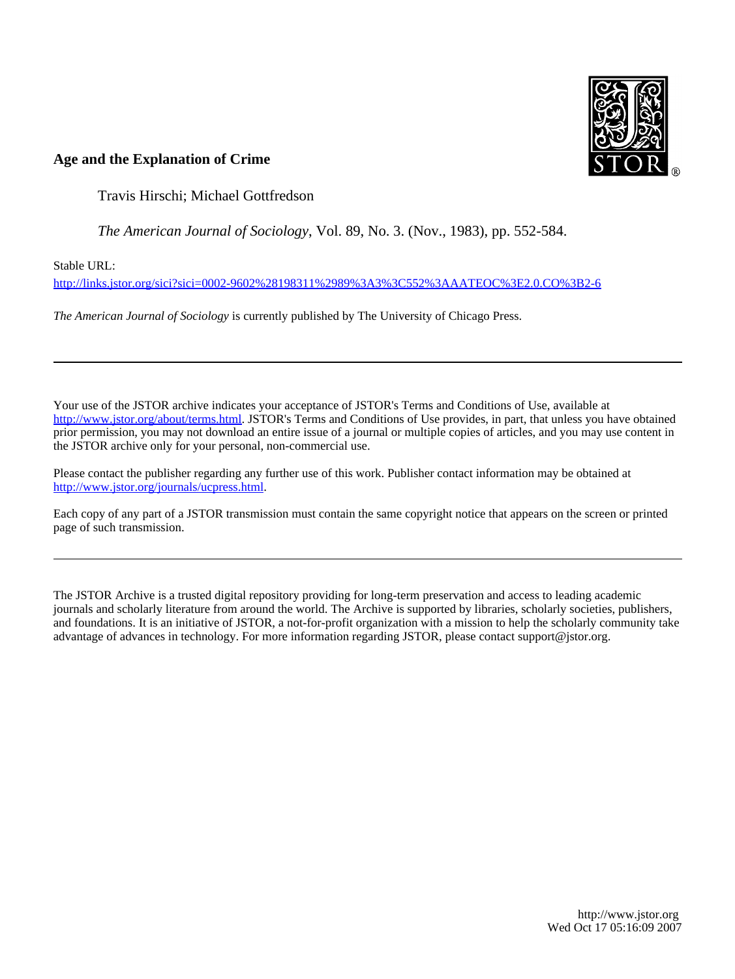

# **Age and the Explanation of Crime**

Travis Hirschi; Michael Gottfredson

*The American Journal of Sociology*, Vol. 89, No. 3. (Nov., 1983), pp. 552-584.

Stable URL:

<http://links.jstor.org/sici?sici=0002-9602%28198311%2989%3A3%3C552%3AAATEOC%3E2.0.CO%3B2-6>

*The American Journal of Sociology* is currently published by The University of Chicago Press.

Your use of the JSTOR archive indicates your acceptance of JSTOR's Terms and Conditions of Use, available at [http://www.jstor.org/about/terms.html.](http://www.jstor.org/about/terms.html) JSTOR's Terms and Conditions of Use provides, in part, that unless you have obtained prior permission, you may not download an entire issue of a journal or multiple copies of articles, and you may use content in the JSTOR archive only for your personal, non-commercial use.

Please contact the publisher regarding any further use of this work. Publisher contact information may be obtained at <http://www.jstor.org/journals/ucpress.html>.

Each copy of any part of a JSTOR transmission must contain the same copyright notice that appears on the screen or printed page of such transmission.

The JSTOR Archive is a trusted digital repository providing for long-term preservation and access to leading academic journals and scholarly literature from around the world. The Archive is supported by libraries, scholarly societies, publishers, and foundations. It is an initiative of JSTOR, a not-for-profit organization with a mission to help the scholarly community take advantage of advances in technology. For more information regarding JSTOR, please contact support@jstor.org.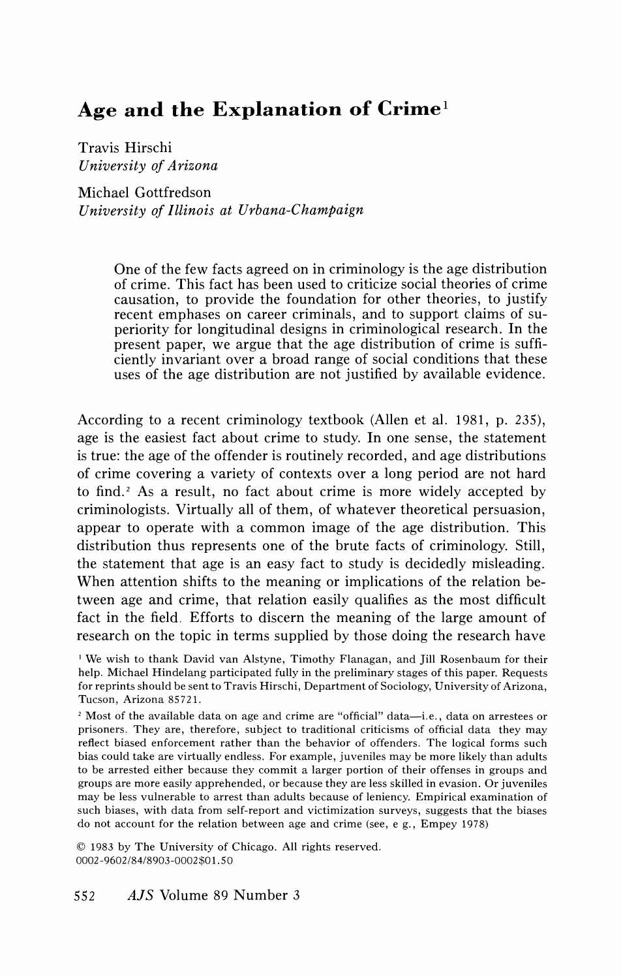# **Age and the Explanation of Crime1**

Travis Hirschi *University of Arizona* 

Michael Gottfredson *University of Illinois at Urbana-Champaign* 

> One of the few facts agreed on in criminology is the age distribution of crime. This fact has been used to criticize social theories of crime causation, to provide the foundation for other theories, to justify recent emphases on career criminals, and to support claims of superiority for longitudinal designs in criminological research. In the present paper, we argue that the age distribution of crime is sufficiently invariant over a broad range of social conditions that these uses of the age distribution are not justified by available evidence.

According to a recent criminology textbook (Allen et al. 1981, p. 235), age is the easiest fact about crime to study. In one sense, the statement is true: the age of the offender is routinely recorded, and age distributions of crime covering a variety of contexts over a long period are not hard to find.\* As a result, no fact about crime is more widely accepted by criminologists. Virtually all of them, of whatever theoretical persuasion, appear to operate with a common image of the age distribution. This distribution thus represents one of the brute facts of criminology. Still, the statement that age is an easy fact to study is decidedly misleading. When attention shifts to the meaning or implications of the relation between age and crime, that relation easily qualifies as the most difficult fact in the field. Efforts to discern the meaning of the large amount of research on the topic in terms supplied by those doing the research have

**<sup>I</sup>**We wish to thank David van Alstyne, Timothy Flanagan, and Jill Rosenbaum for their help. Michael Hindelang participated fully in the preliminary stages of this paper. Requests for reprints should be sent to Travis Hirschi, Department of Sociology, University of Arizona, Tucson, Arizona 8572 1.

<sup>2</sup> Most of the available data on age and crime are "official" data-i.e., data on arrestees or prisoners. They are, therefore, subject to traditional criticisms of official data they may reflect biased enforcement rather than the behavior of offenders. The logical forms such bias could take are virtually endless. For example, juveniles may be more likely than adults to be arrested either because they commit a larger portion of their offenses in groups and groups are more easily apprehended, or because they are less skilled in evasion. Or juveniles may be less vulnerable to arrest than adults because of leniency. Empirical examination of such biases, with data from self-report and victimization surveys, suggests that the biases do not account for the relation between age and crime (see, e g., Empey 1978)

0 1983 by The University of Chicago. All rights reserved. 0002-9602/84/8903-0002\$01.50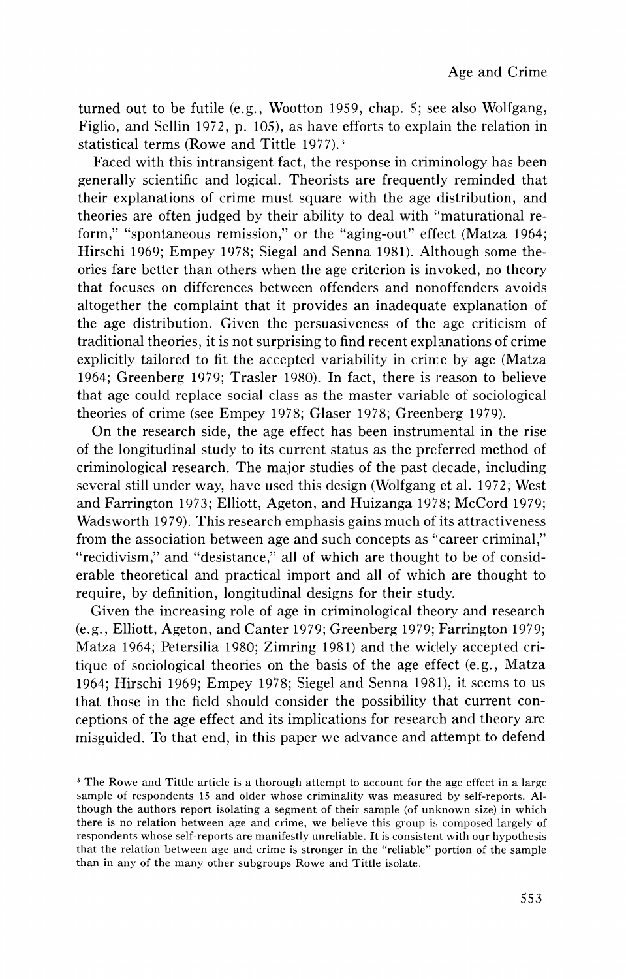turned out to be futile (e.g., Wootton 1959, chap. *5;* see also Wolfgang, Figlio, and Sellin 1972, p. 105), as have efforts to explain the relation in statistical terms (Rowe and Tittle 1977).

Faced with this intransigent fact, the response in criminology has been generally scientific and logical. Theorists are frequently reminded that their explanations of crime must square with the age distribution, and theories are often judged by their ability to deal with "maturational reform," "spontaneous remission," or the "aging-out" effect (Matza 1964; Hirschi 1969; Empey 1978; Siegal and Senna 1981). Although some theories fare better than others when the age criterion is invoked, no theory that focuses on differences between offenders and nonoffenders avoids altogether the complaint that it provides an inadequate explanation of the age distribution. Given the persuasiveness of the age criticism of traditional theories, it is not surprising to find recent explanations of crime explicitly tailored to fit the accepted variability in crime by age (Matza 1964; Greenberg 1979; Trasler 1980). In fact, there is reason to believe that age could replace social class as the master variable of sociological theories of crime (see Empey 1978; Glaser 1978; Greenberg 1979).

On the research side, the age effect has been instrumental in the rise of the longitudinal study to its current status as the preferred method of criminological research. The major studies of the past decade, including several still under way, have used this design (Wolfgang et al. 1972; West and Farrington 1973; Elliott, Ageton, and Huizanga 1978; McCord 1979; Wadsworth 1979). This research emphasis gains much of its attractiveness from the association between age and such concepts as 'career criminal," "recidivism," and "desistance," all of which are thought to be of considerable theoretical and practical import and all of which are thought to require, by definition, longitudinal designs for their study.

Given the increasing role of age in criminological theory and research (e.g., Elliott, Ageton, and Canter 1979; Greenberg 1979; Farrington 1979; Matza 1964; Petersilia 1980; Zimring 1981) and the wiclely accepted critique of sociological theories on the basis of the age effect (e.g., Matza 1964; Hirschi 1969; Empey 1978; Siege1 and Senna 1981), it seems to us that those in the field should consider the possibility that current conceptions of the age effect and its implications for research and theory are misguided. To that end, in this paper we advance and attempt to defend

<sup>&</sup>lt;sup>3</sup> The Rowe and Tittle article is a thorough attempt to account for the age effect in a large sample of respondents 15 and older whose criminality was measured by self-reports. Although the authors report isolating a segment of their sample (of unknown size) in which there is no relation between age and crime, we believe this group is composed largely of respondents whose self-reports are manifestly unreliable. It is consistent with our hypothesis that the relation between age and crime is stronger in the "reliable" portion of the sample than in any of the many other subgroups Rowe and Tittle isolate.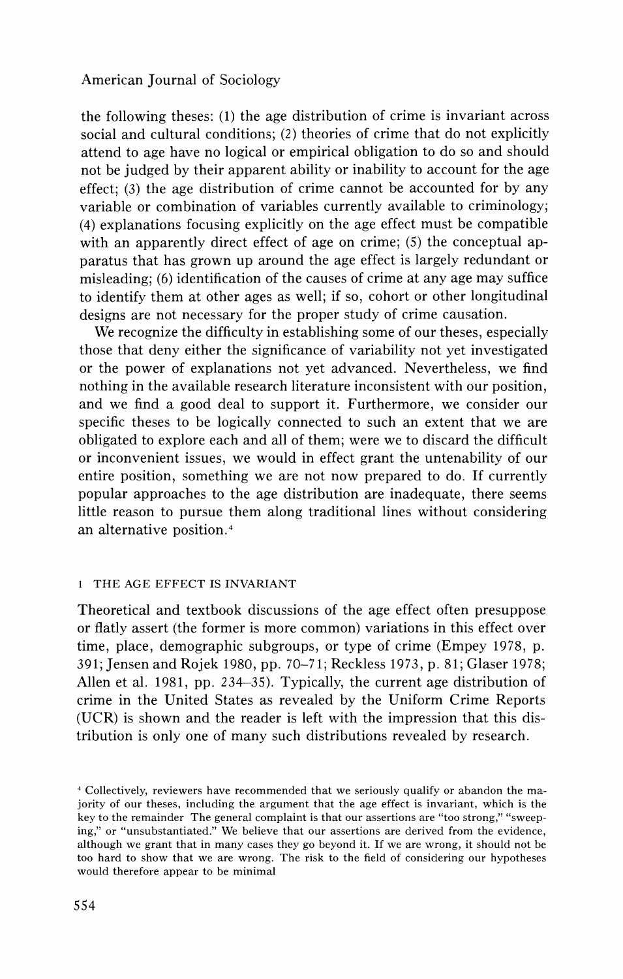the following theses: (1) the age distribution of crime is invariant across social and cultural conditions; (2) theories of crime that do not explicitly attend to age have no logical or empirical obligation to do so and should not be judged by their apparent ability or inability to account for the age effect; (3) the age distribution of crime cannot be accounted for by any variable or combination of variables currently available to criminology; (4) explanations focusing explicitly on the age effect must be compatible with an apparently direct effect of age on crime; *(5)* the conceptual apparatus that has grown up around the age effect is largely redundant or misleading; (6) identification of the causes of crime at any age may suffice to identify them at other ages as well; if so, cohort or other longitudinal designs are not necessary for the proper study of crime causation.

We recognize the difficulty in establishing some of our theses, especially those that deny either the significance of variability not yet investigated or the power of explanations not yet advanced. Nevertheless, we find nothing in the available research literature inconsistent with our position, and we find a good deal to support it. Furthermore, we consider our specific theses to be logically connected to such an extent that we are obligated to explore each and all of them; were we to discard the difficult or inconvenient issues, we would in effect grant the untenability of our entire position, something we are not now prepared to do. If currently popular approaches to the age distribution are inadequate, there seems little reason to pursue them along traditional lines without considering an alternative position.<sup>4</sup>

### I THE AGE EFFECT IS **IIYVARIAIYT**

Theoretical and textbook discussions of the age effect often presuppose or flatly assert (the former is more common) variations in this effect over time, place, demographic subgroups, or type of crime (Empey 1978, p. 391; Jensen and Rojek 1980, pp. 70-71; Reckless 1973, p. 81; Glaser 1978; Allen et al. 1981, pp. 234-35). Typically, the current age distribution of crime in the United States as revealed by the Uniform Crime Reports (UCR) is shown and the reader is left with the impression that this distribution is only one of many such distributions revealed by research.

Collectively, reviewers have recommended that we seriously qualify or abandon the majority of our theses, including the argument that the age effect is invariant, which is the key to the remainder The general complaint is that our assertions are "too strong," "sweeping," or "unsubstantiated." We believe that our assertions are derived from the evidence, although we grant that in many cases they go beyond it. If we are wrong, it should not be too hard to show that we are wrong. The risk to the field of considering our hypotheses would therefore appear to be minimal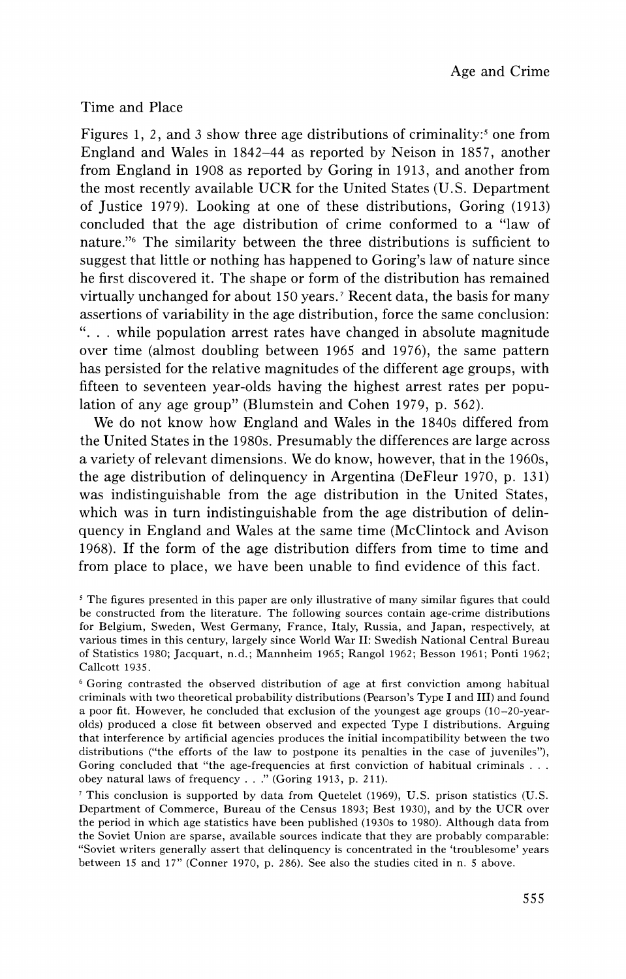Time and Place

Figures 1, 2, and *3* show three age distributions of criminality:' one from England and Wales in 1842-44 as reported by Neison in 1857, another from England in 1908 as reported by Goring in 1913, and another from the most recently available UCR for the United States (U.S. Department of Justice 1979). Looking at one of these distributions, Goring (1913) concluded that the age distribution of crime conformed to a "law of nature."<sup>6</sup> The similarity between the three distributions is sufficient to suggest that little or nothing has happened to Goring's law of nature since he first discovered it. The shape or form of the distribution has remained virtually unchanged for about 150 years.' Recent data, the basis for many assertions of variability in the age distribution, force the same conclusion: **'L.**. . while population arrest rates have changed in absolute magnitude over time (almost doubling between 1965 and 1976), the same pattern has persisted for the relative magnitudes of the different age groups, with fifteen to seventeen year-olds having the highest arrest rates per population of any age group" (Blumstein and Cohen 1979, p. 562).

We do not know how England and Wales in the 1840s differed from the United States in the 1980s. Presumably the differences are large across a variety of relevant dimensions. We do know, however, that in the 1960s, the age distribution of delinquency in Argentina (DeFleur 1970, p. 131) was indistinguishable from the age distribution in the United States, which was in turn indistinguishable from the age distribution of delinquency in England and Wales at the same time (McClintock and Avison 1968). If the form of the age distribution differs from time to time and from place to place, we have been unable to find evidence of this fact.

<sup>&</sup>lt;sup>5</sup> The figures presented in this paper are only illustrative of many similar figures that could be constructed from the literature. The following sources contain age-crime distributions for Belgium, Sweden, West Germany, France, Italy, Russia, and Japan, respectively, at various times in this century, largely since World War 11: Swedish National Central Bureau of Statistics 1980; Jacquart, n.d.; Mannheim 1965; Rang01 1962; Besson 1961; Ponti 1962; Callcott 1935.

Goring contrasted the observed distribution of age at first conviction among habitual criminals with two theoretical probability distributions (Pearson's Type I and 111) and found a poor fit. However, he concluded that exclusion of the youngest age groups (10-20-yearolds) produced a close fit between observed and expected Type I distributions. Arguing that interference by artificial agencies produces the initial incompatibility between the two distributions ("the efforts of the law to postpone its penalties in the case of juveniles"), Goring concluded that "the age-frequencies at first conviction of habitual criminals . . . obey natural laws of frequency . . ." (Goring 1913, p. 211).

<sup>&</sup>lt;sup>7</sup> This conclusion is supported by data from Quetelet (1969), U.S. prison statistics (U.S. Department of Commerce, Bureau of the Census 1893; Best 1930), and by the UCR over the period in which age statistics have been published (1930s to 1980). Although data from the Soviet Union are sparse, available sources indicate that they are probably comparable: "Soviet writers generally assert that delinquency is concentrated in the 'troublesome' years between 15 and 17" (Conner 1970, p. 286). See also the studies cited in n. 5 above.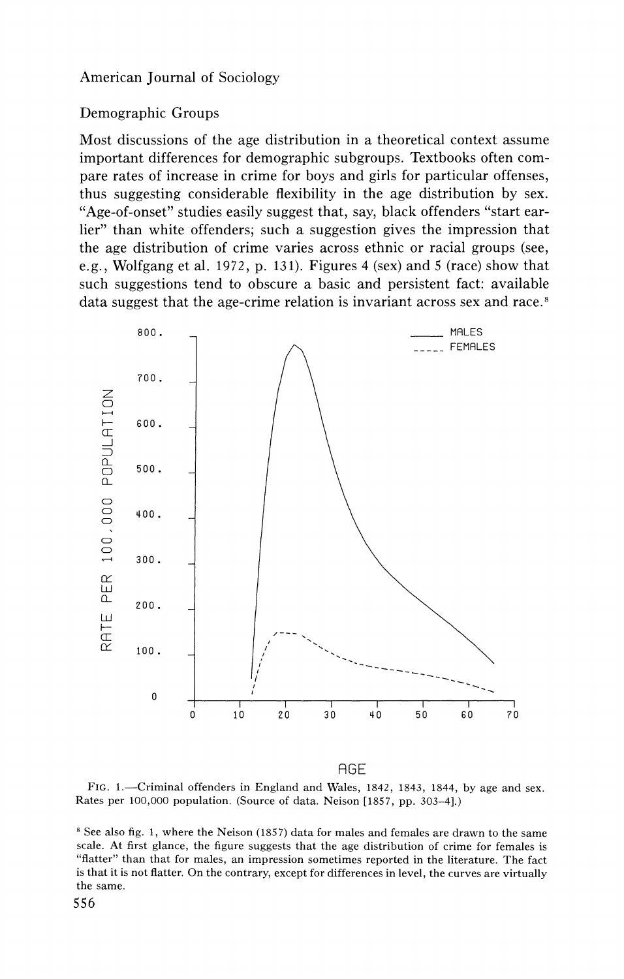# Demographic Groups

Most discussions of the age distribution in a theoretical context assume important differences for demographic subgroups. Textbooks often compare rates of increase in crime for boys and girls for particular offenses, thus suggesting considerable flexibility in the age distribution by sex. "Age-of-onset" studies easily suggest that, say, black offenders "start earlier" than white offenders; such a suggestion gives the impression that the age distribution of crime varies across ethnic or racial groups (see, e.g., Wolfgang et al. 1972, p. 131). Figures 4 (sex) and 5 (race) show that such suggestions tend to obscure a basic and persistent fact: available data suggest that the age-crime relation is invariant across sex and race.<sup>8</sup>



**AGE** 

FIG.1.-Criminal offenders in England and Wales, 1842, 1843, 1844, by age and sex. Rates per 100,000 population. (Source of data. Neison [1857, pp. 303-41.)

<sup>8</sup> See also fig. 1, where the Neison (1857) data for males and females are drawn to the same scale. At first glance, the figure suggests that the age distribution of crime for females is "flatter" than that for males, an impression sometimes reported in the literature. The fact is that it is not flatter. On the contrary, except for differences in level, the curves are virtually the same.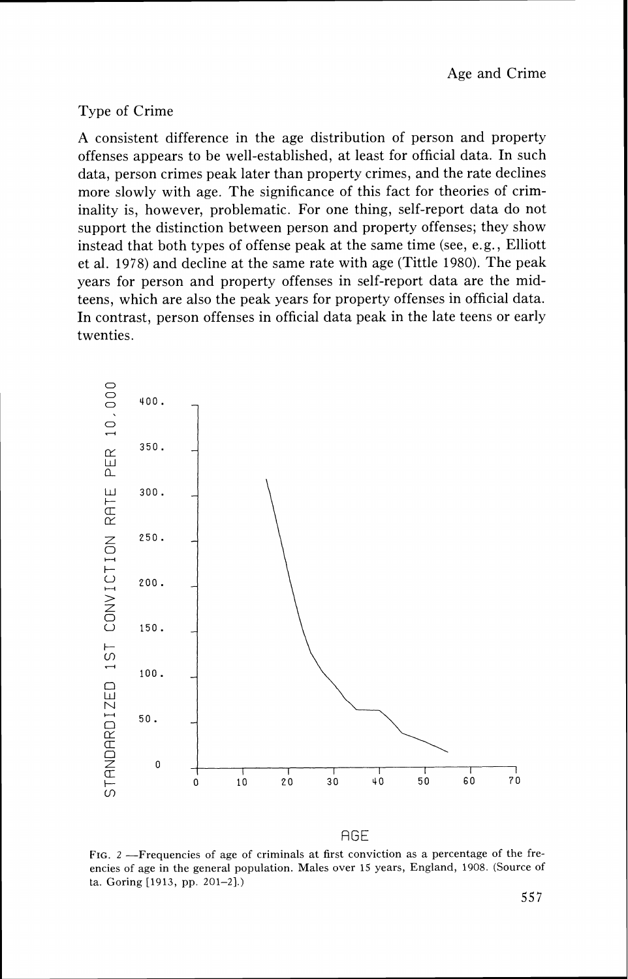## Type of Crime

A consistent difference in the age distribution of person and property offenses appears to be well-established, at least for official data. In such data, person crimes peak later than property crimes, and the rate declines more slowly with age. The significance of this fact for theories of criminality is, however, problematic. For one thing, self-report data do not support the distinction between person and property offenses; they show instead that both types of offense peak at the same time (see, e.g., Elliott et al. 1978) and decline at the same rate with age (Tittle 1980). The peak years for person and property offenses in self-report data are the midteens, which are also the peak years for property offenses in official data. In contrast, person offenses in official data peak in the late teens or early twenties.



FIG. 2 -Frequencies of age of criminals at first conviction as a percentage of the freencies of age in the general population. Males over 15 years, England, 1908. (Source of ta. Goring 11913, pp. 201-21.)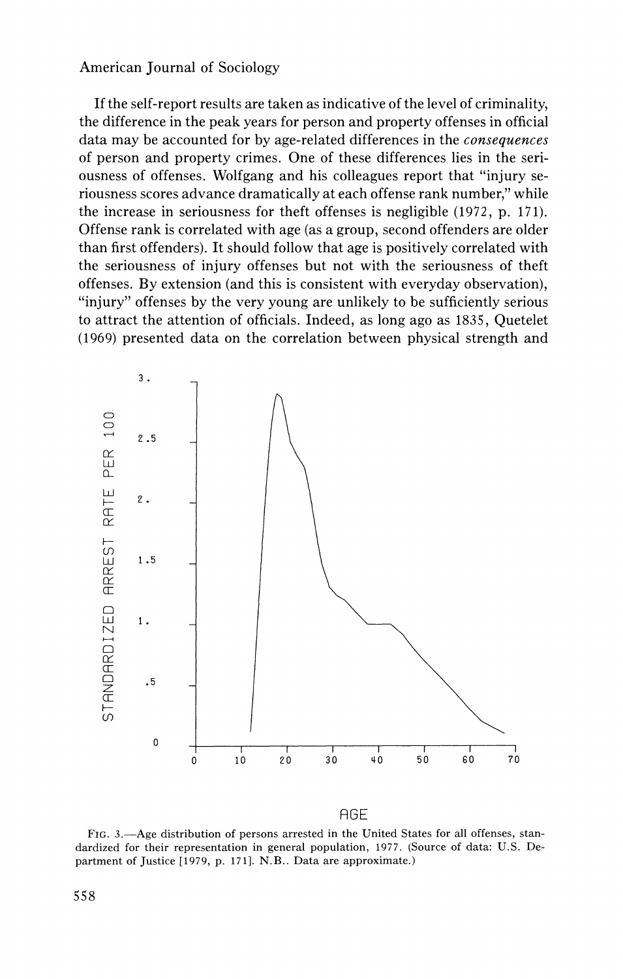If the self-report results are taken as indicative of the level of criminality, the difference in the peak years for person and property offenses in official data may be accounted for by age-related differences in the *consequences*  of person and property crimes. One of these differences lies in the seriousness of offenses. Wolfgang and his colleagues report that "injury seriousness scores advance dramatically at each offense rank number," while the increase in seriousness for theft offenses is negligible (1972, p. 171). Offense rank is correlated with age (as a group, second offenders are older than first offenders). It should follow that age is positively correlated with the seriousness of injury offenses but not with the seriousness of theft offenses. By extension (and this is consistent with everyday observation), "injury" offenses by the very young are unlikely to be sufficiently serious to attract the attention of officials. Indeed, as long ago as 1835, Quetelet (1969) presented data on the correlation between physical strength and



FIG.3.-Age distribution of persons arrested in the United States for all offenses, standardized for their representation in general population, 1977. (Source of data: U.S. Department of Justice [1979, p. 171]. N.B.. Data are approximate.)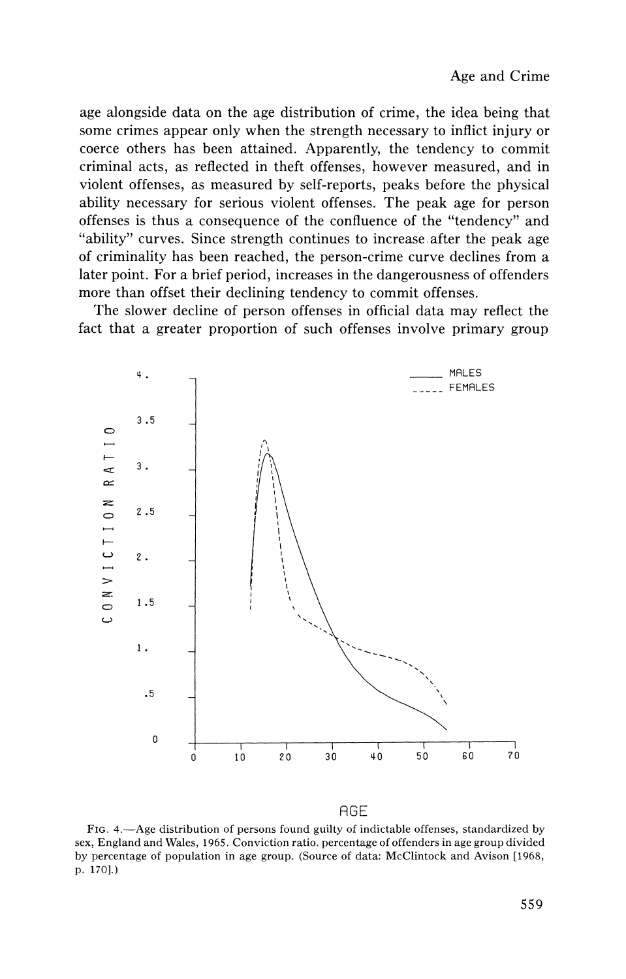age alongside data on the age distribution of crime, the idea being that some crimes appear only when the strength necessary to inflict injury or coerce others has been attained. Apparently, the tendency to commit criminal acts, as reflected in theft offenses, however measured, and in violent offenses, as measured by self-reports, peaks before the physical ability necessary for serious violent offenses. The peak age for person offenses is thus a consequence of the confluence of the "tendency" and "ability" curves. Since strength continues to increase after the peak age of criminality has been reached, the person-crime curve declines from a later point. For a brief period, increases in the dangerousness of offenders more than offset their declining tendency to commit offenses.

The slower decline of person offenses in official data may reflect the fact that a greater proportion of such offenses involve primary group



FIG.4.-Age distribution of persons found guilty of indictable offenses, standardized by sex, England and Wales, 1965. Conviction ratio. percentage of offenders in age group divided by percentage of population in age group. (Source of data: McClintock and Avison [1968, p. 170].)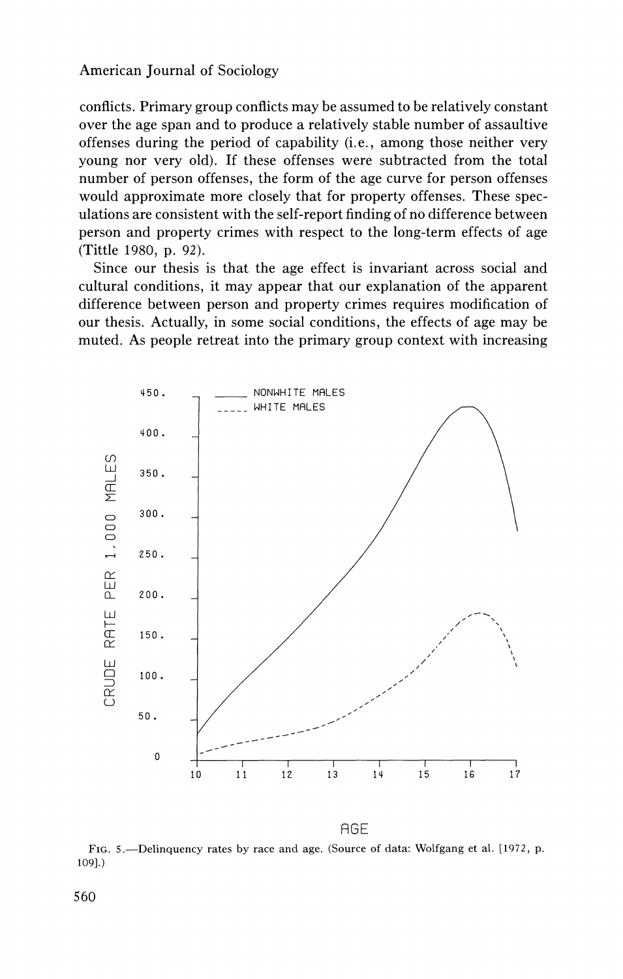conflicts. Primary group conflicts may be assumed to be relatively constant over the age span and to produce a relatively stable number of assaultive offenses during the period of capability (i.e., among those neither very young nor very old). If these offenses were subtracted from the total number of person offenses, the form of the age curve for person offenses would approximate more closely that for property offenses. These speculations are consistent with the self-report finding of no difference between person and property crimes with respect to the long-term effects of age (Tittle 1980, p. 92).

Since our thesis is that the age effect is invariant across social and cultural conditions, it may appear that our explanation of the apparent difference between person and property crimes requires modification of our thesis. Actually, in some social conditions, the effects of age may be muted. As people retreat into the primary group context with increasing



FIG.5.-Delinquency rates by race and age. (Source of data: Wolfgang et al. [1972, p. 1091.)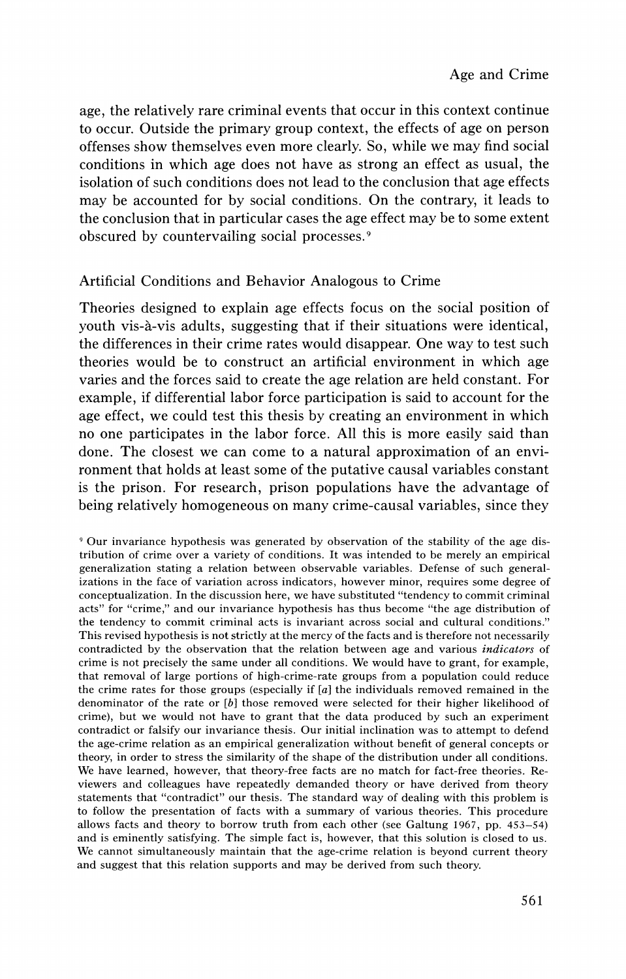age, the relatively rare criminal events that occur in this context continue to occur. Outside the primary group context, the effects of age on person offenses show themselves even more clearly. So, while we may find social conditions in which age does not have as strong an effect as usual, the isolation of such conditions does not lead to the conclusion that age effects may be accounted for by social conditions. On the contrary, it leads to the conclusion that in particular cases the age effect may be to some extent obscured by countervailing social processes.9

### Artificial Conditions and Behavior Analogous to Crime

Theories designed to explain age effects focus on the social position of youth vis-a-vis adults, suggesting that if their situations were identical, the differences in their crime rates would disappear. One way to test such theories would be to construct an artificial environment in which age varies and the forces said to create the age relation are held constant. For example, if differential labor force participation is said to account for the age effect, we could test this thesis by creating an environment in which no one participates in the labor force. All this is more easily said than done. The closest we can come to a natural approximation of an environment that holds at least some of the putative causal variables constant is the prison. For research, prison populations have the advantage of being relatively homogeneous on many crime-causal variables, since they

Our invariance hypothesis was generated by observation of the stability of the age distribution of crime over a variety of conditions. It was intended to be merely an empirical generalization stating a relation between observable variables. Defense of such generalizations in the face of variation across indicators, however minor, requires some degree of conceptualization. In the discussion here, we have substituted "tendency to commit criminal acts" for "crime," and our invariance hypothesis has thus become "the age distribution of the tendency to commit criminal acts is invariant across social and cultural conditions." This revised hypothesis is not strictly at the mercy of the facts and is therefore not necessarily contradicted by the observation that the relation between age and various **indicators** of crime is not precisely the same under all conditions. We would have to grant, for example, that removal of large portions of high-crime-rate groups from a population could reduce the crime rates for those groups (especially if *[a]*the individuals removed remained in the denominator of the rate or *[b]*those removed were selected for their higher likelihood of crime), but we would not have to grant that the data produced by such an experiment contradict or falsify our invariance thesis. Our initial inclination was to attempt to defend the age-crime relation as an empirical generalization without benefit of general concepts or theory, in order to stress the similarity of the shape of the distribution under all conditions. We have learned, however, that theory-free facts are no match for fact-free theories. Reviewers and colleagues have repeatedly demanded theory or have derived from theory statements that "contradict" our thesis. The standard way of dealing with this problem is to follow the presentation of facts with a summary of various theories. This procedure allows facts and theory to borrow truth from each other (see Galtung 1967, pp. 453-54) and is eminently satisfying. The simple fact is, however, that this solution is closed to us. We cannot simultaneously maintain that the age-crime relation is beyond current theory and suggest that this relation supports and may be derived from such theory.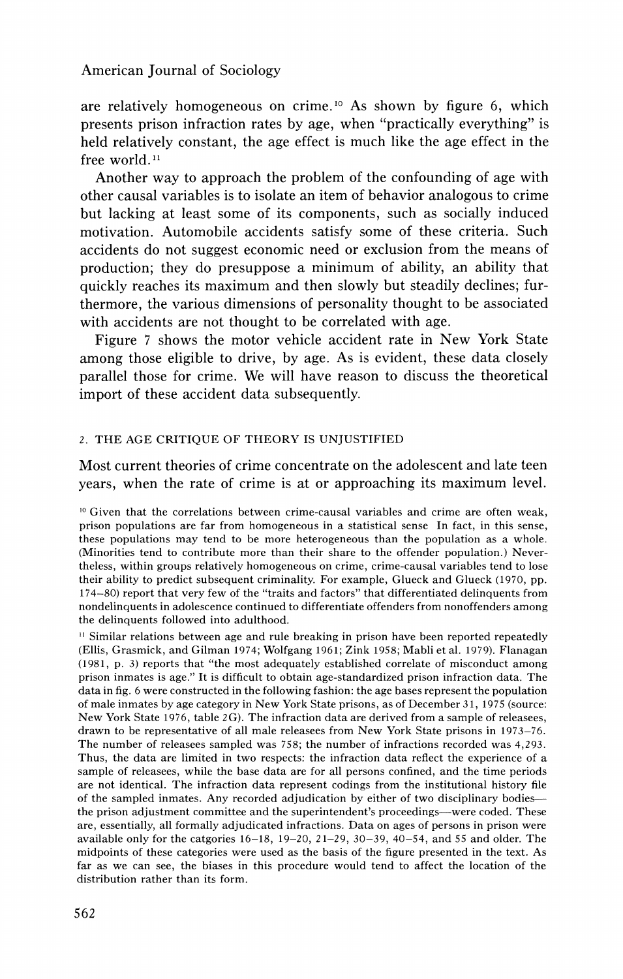are relatively homogeneous on crime.<sup>10</sup> As shown by figure 6, which presents prison infraction rates by age, when "practically everything" is held relatively constant, the age effect is much like the age effect in the free world.

Another way to approach the problem of the confounding of age with other causal variables is to isolate an item of behavior analogous to crime but lacking at least some of its components, such as socially induced motivation. Automobile accidents satisfy some of these criteria. Such accidents do not suggest economic need or exclusion from the means of production; they do presuppose a minimum of ability, an ability that quickly reaches its maximum and then slowly but steadily declines; furthermore, the various dimensions of personality thought to be associated with accidents are not thought to be correlated with age.

Figure 7 shows the motor vehicle accident rate in New York State among those eligible to drive, by age. As is evident, these data closely parallel those for crime. We will have reason to discuss the theoretical import of these accident data subsequently.

#### 2. THE AGE CRITIQUE OF THEORY IS UNJUSTIFIED

Most current theories of crime concentrate on the adolescent and late teen years, when the rate of crime is at or approaching its maximum level.

 $<sup>10</sup>$  Given that the correlations between crime-causal variables and crime are often weak,</sup> prison populations are far from homogeneous in a statistical sense In fact, in this sense, these populations may tend to be more heterogeneous than the population as a whole. (Minorities tend to contribute more than their share to the offender population.) Nevertheless, within groups relatively homogeneous on crime, crime-causal variables tend to lose their ability to predict subsequent criminality. For example, Glueck and Glueck (1970, pp. 174-80) report that very few of the "traits and factors" that differentiated delinquents from nondelinquents in adolescence continued to differentiate offenders from nonoffenders among the delinquents followed into adulthood.

<sup>&</sup>lt;sup>11</sup> Similar relations between age and rule breaking in prison have been reported repeatedly (Ellis, Grasmick, and Gilman 1974; Wolfgang 1961; Zink 1958; Mabli et al. 1979). Flanagan (1981, p. 3) reports that "the most adequately established correlate of misconduct among prison inmates is age." It is difficult to obtain age-standardized prison infraction data. The data in fig. 6 were constructed in the following fashion: the age bases represent the population of male inmates by age category in New York State prisons, as of December 31, 1975 (source: New York State 1976, table 2G). The infraction data are derived from a sample of releasees, drawn to be representative of all male releasees from New York State prisons in 1973-76. The number of releasees sampled was 758; the number of infractions recorded was 4,293. Thus, the data are limited in two respects: the infraction data reflect the experience of a sample of releasees, while the base data are for all persons confined, and the time periods are not identical. The infraction data represent codings from the institutional history file of the sampled inmates. Any recorded adjudication by either of two disciplinary bodiesthe prison adjustment committee and the superintendent's proceedings-were coded. These are, essentially, all formally adjudicated infractions. Data on ages of persons in prison were available only for the catgories 16-18, 19-20, 21-29, 30-39, 40-54, and 55 and older. The midpoints of these categories were used as the basis of the figure presented in the text. As far as we can see, the biases in this procedure would tend to affect the location of the distribution rather than its form.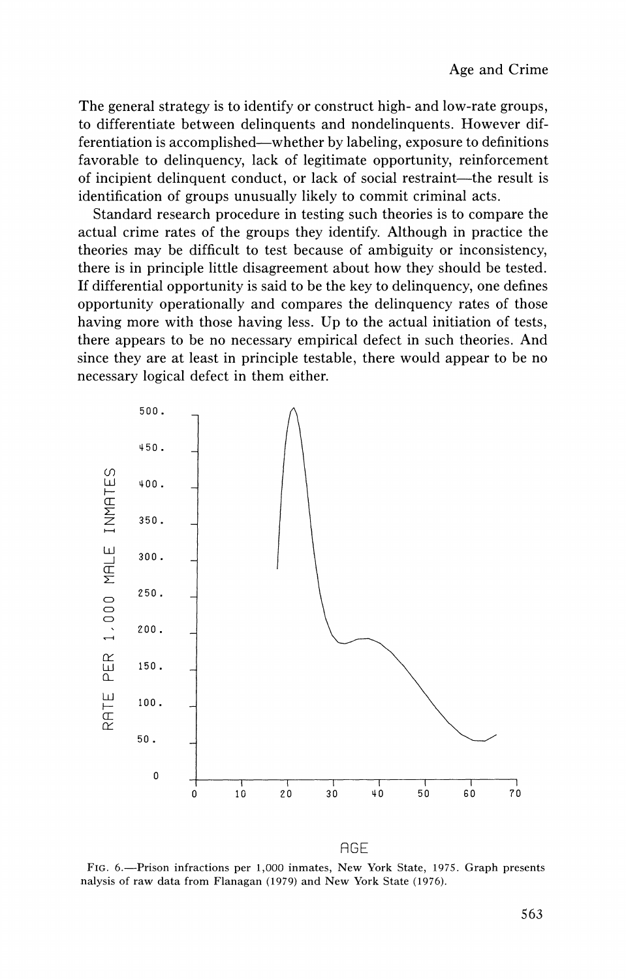The general strategy is to identify or construct high- and low-rate groups, to differentiate between delinquents and nondelinquents. However differentiation is accomplished—whether by labeling, exposure to definitions favorable to delinquency, lack of legitimate opportunity, reinforcement of incipient delinquent conduct, or lack of social restraint-the result is identification of groups unusually likely to commit criminal acts.

Standard research procedure in testing such theories is to compare the actual crime rates of the groups they identify. Although in practice the theories may be difficult to test because of ambiguity or inconsistency, there is in principle little disagreement about how they should be tested. If differential opportunity is said to be the key to delinquency, one defines opportunity operationally and compares the delinquency rates of those having more with those having less. Up to the actual initiation of tests, there appears to be no necessary empirical defect in such theories. And since they are at least in principle testable, there would appear to be no necessary logical defect in them either.



FIG. 6.-Prison infractions per 1,000 inmates, New York State, 1975. Graph presents nalysis of raw data from Flanagan (1979) and New York State (1976).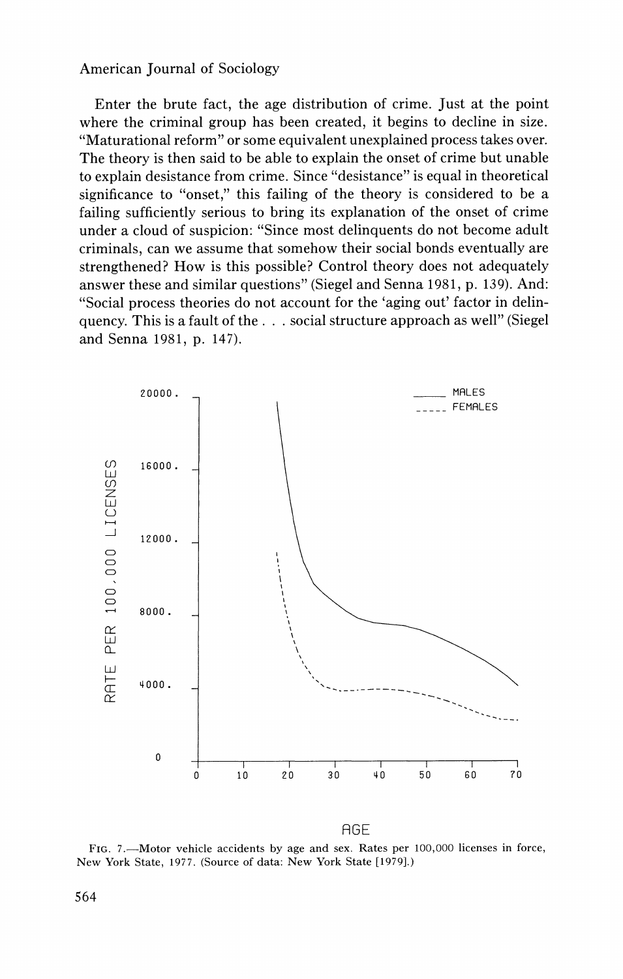Enter the brute fact, the age distribution of crime. Just at the point where the criminal group has been created, it begins to decline in size. "Maturational reform" or some equivalent unexplained process takes over. The theory is then said to be able to explain the onset of crime but unable to explain desistance from crime. Since "desistance" is equal in theoretical significance to "onset," this failing of the theory is considered to be a failing sufficiently serious to bring its explanation of the onset of crime under a cloud of suspicion: "Since most delinquents do not become adult criminals, can we assume that somehow their social bonds eventually are strengthened? How is this possible? Control theory does not adequately answer these and similar questions" (Siegel and Senna 1981, p. 139). And: "Social process theories do not account for the 'aging out' factor in delinquency. This is a fault of the . . . social structure approach as well" (Siegel and Senna 1981, p. 147).



FIG. 7.-Motor vehicle accidents by age and sex. Rates per 100,000 licenses in force, New York State, 1977. (Source of data: New York State [19791.)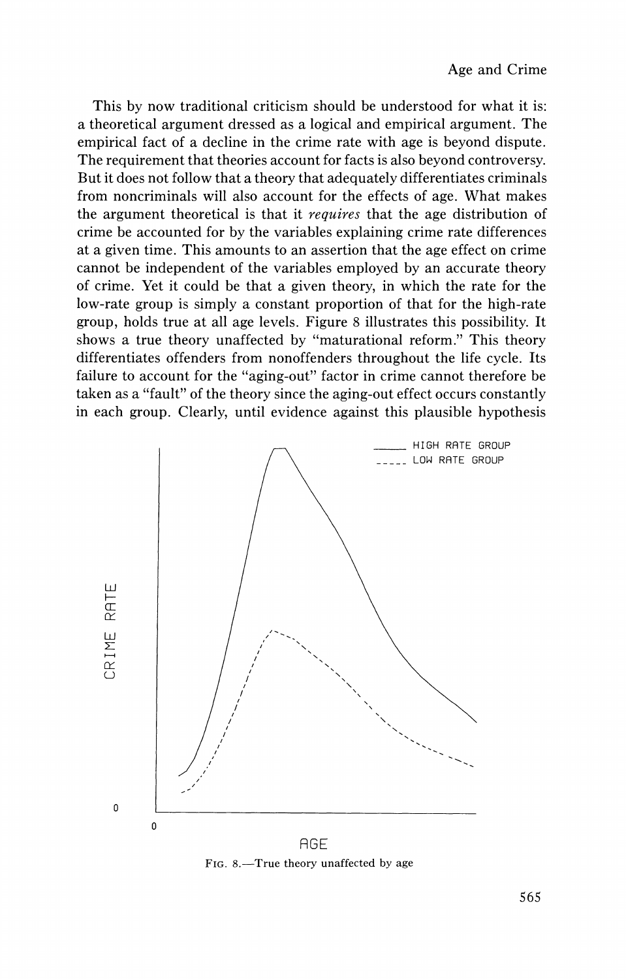This by now traditional criticism should be understood for what it is: a theoretical argument dressed as a logical and empirical argument. The empirical fact of a decline in the crime rate with age is beyond dispute. The requirement that theories account for facts is also beyond controversy. But it does not follow that a theory that adequately differentiates criminals from noncriminals will also account for the effects of age. What makes the argument theoretical is that it requires that the age distribution of crime be accounted for by the variables explaining crime rate differences at a given time. This amounts to an assertion that the age effect on crime cannot be independent of the variables employed by an accurate theory of crime. Yet it could be that a given theory, in which the rate for the low-rate group is simply a constant proportion of that for the high-rate group, holds true at all age levels. Figure 8 illustrates this possibility. It shows a true theory unaffected by "maturational reform." This theory differentiates offenders from nonoffenders throughout the life cycle. Its failure to account for the "aging-out" factor in crime cannot therefore be taken as a "fault" of the theory since the aging-out effect occurs constantly in each group. Clearly, until evidence against this plausible hypothesis



FIG. 8.-True theory unaffected by age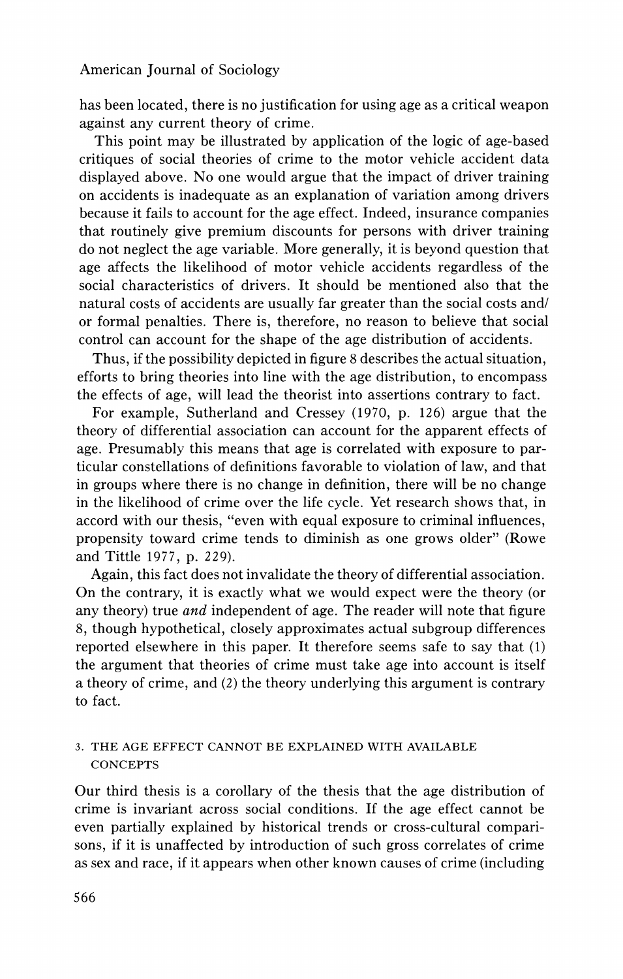has been located, there is no justification for using age as a critical weapon against any current theory of crime.

This point may be illustrated by application of the logic of age-based critiques of social theories of crime to the motor vehicle accident data displayed above. No one would argue that the impact of driver training on accidents is inadequate as an explanation of variation among drivers because it fails to account for the age effect. Indeed, insurance companies that routinely give premium discounts for persons with driver training do not neglect the age variable. More generally, it is beyond question that age affects the likelihood of motor vehicle accidents regardless of the social characteristics of drivers. It should be mentioned also that the natural costs of accidents are usually far greater than the social costs and/ or formal penalties. There is, therefore, no reason to believe that social control can account for the shape of the age distribution of accidents.

Thus, if the possibility depicted in figure 8 describes the actual situation, efforts to bring theories into line with the age distribution, to encompass the effects of age, will lead the theorist into assertions contrary to fact.

For example, Sutherland and Cressey (1970, p. 126) argue that the theory of differential association can account for the apparent effects of age. Presumably this means that age is correlated with exposure to particular constellations of definitions favorable to violation of law, and that in groups where there is no change in definition, there will be no change in the likelihood of crime over the life cycle. Yet research shows that, in accord with our thesis, "even with equal exposure to criminal influences, propensity toward crime tends to diminish as one grows older" (Rowe and Tittle 1977, p. 229).

Again, this fact does not invalidate the theory of differential association. On the contrary, it is exactly what we would expect were the theory (or any theory) true and independent of age. The reader will note that figure 8, though hypothetical, closely approximates actual subgroup differences reported elsewhere in this paper. It therefore seems safe to say that (1) the argument that theories of crime must take age into account is itself a theory of crime, and (2) the theory underlying this argument is contrary to fact.

### 3. THE AGE EFFECT CANNOT BE EXPLAINED WITH AVAILABLE **CONCEPTS**

Our third thesis is a corollary of the thesis that the age distribution of crime is invariant across social conditions. If the age effect cannot be even partially explained by historical trends or cross-cultural comparisons, if it is unaffected by introduction of such gross correlates of crime as sex and race, if it appears when other known causes of crime (including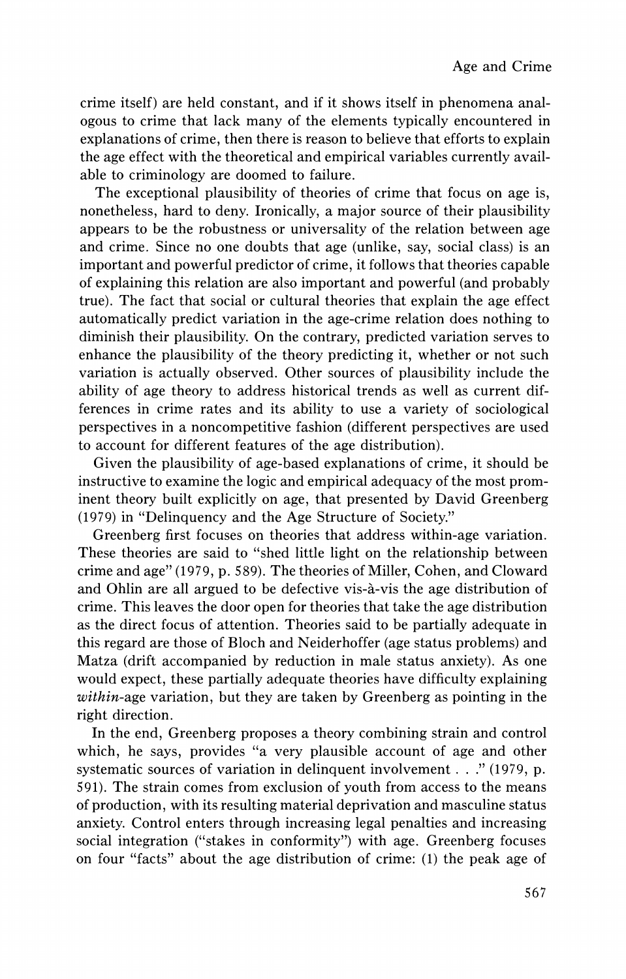crime itself) are held constant, and if it shows itself in phenomena analogous to crime that lack many of the elements typically encountered in explanations of crime, then there is reason to believe that efforts to explain the age effect with the theoretical and empirical variables currently available to criminology are doomed to failure.

The exceptional plausibility of theories of crime that focus on age is, nonetheless, hard to deny. Ironically, a major source of their plausibility appears to be the robustness or universality of the relation between age and crime. Since no one doubts that age (unlike, say, social class) is an important and powerful predictor of crime, it follows that theories capable of explaining this relation are also important and powerful (and probably true). The fact that social or cultural theories that explain the age effect automatically predict variation in the age-crime relation does nothing to diminish their plausibility. On the contrary, predicted variation serves to enhance the plausibility of the theory predicting it, whether or not such variation is actually observed. Other sources of plausibility include the ability of age theory to address historical trends as well as current differences in crime rates and its ability to use a variety of sociological perspectives in a noncompetitive fashion (different perspectives are used to account for different features of the age distribution).

Given the plausibility of age-based explanations of crime, it should be instructive to examine the logic and empirical adequacy of the most prominent theory built explicitly on age, that presented by David Greenberg (1979) in "Delinquency and the Age Structure of Society."

Greenberg first focuses on theories that address within-age variation. These theories are said to "shed little light on the relationship between crime and age" (1979, p. 589). The theories of Miller, Cohen, and Cloward and Ohlin are all argued to be defective vis-a-vis the age distribution of crime. This leaves the door open for theories that take the age distribution as the direct focus of attention. Theories said to be partially adequate in this regard are those of Bloch and Neiderhoffer (age status problems) and Matza (drift accompanied by reduction in male status anxiety). As one would expect, these partially adequate theories have difficulty explaining within-age variation, but they are taken by Greenberg as pointing in the right direction.

In the end, Greenberg proposes a theory combining strain and control which, he says, provides "a very plausible account of age and other systematic sources of variation in delinquent involvement . . ." (1979, p. 591). The strain comes from exclusion of youth from access to the means of production, with its resulting material deprivation and masculine status anxiety. Control enters through increasing legal penalties and increasing social integration ("stakes in conformity") with age. Greenberg focuses on four "facts" about the age distribution of crime: (1) the peak age of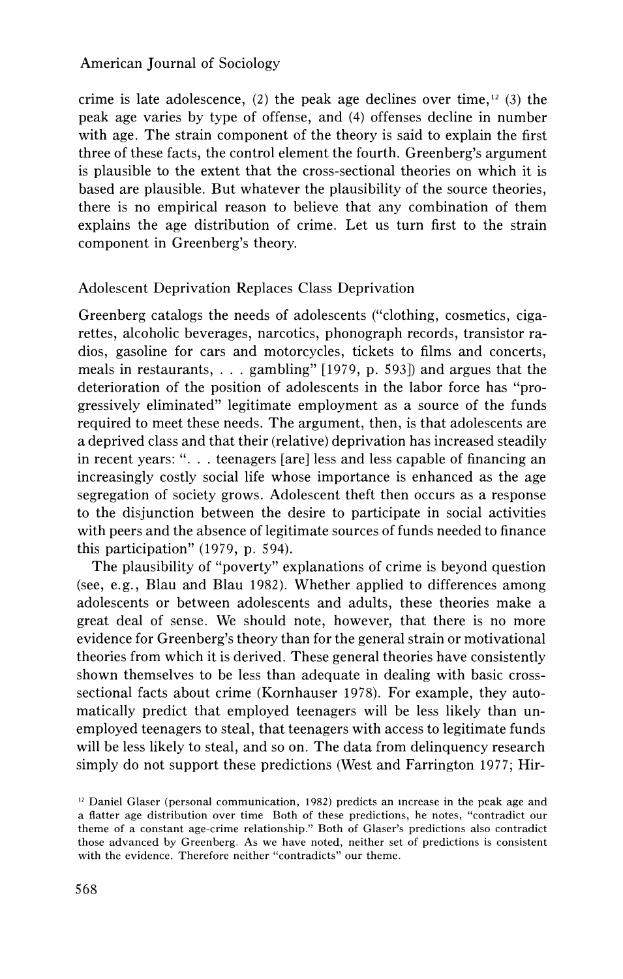crime is late adolescence, (2) the peak age declines over time,<sup>12</sup> (3) the peak age varies by type of offense, and (4) offenses decline in number with age. The strain component of the theory is said to explain the first three of these facts, the control element the fourth. Greenberg's argument is plausible to the extent that the cross-sectional theories on which it is based are plausible. But whatever the plausibility of the source theories, there is no empirical reason to believe that any combination of them explains the age distribution of crime. Let us turn first to the strain component in Greenberg's theory.

# Adolescent Deprivation Replaces Class Deprivation

Greenberg catalogs the needs of adolescents ("clothing, cosmetics, cigarettes, alcoholic beverages, narcotics, phonograph records, transistor radios, gasoline for cars and motorcycles, tickets to films and concerts, meals in restaurants,  $\ldots$  gambling" [1979, p. 593]) and argues that the deterioration of the position of adolescents in the labor force has "progressively eliminated" legitimate employment as a source of the funds required to meet these needs. The argument, then, is that adolescents are a deprived class and that their (relative) deprivation has increased steadily in recent years: ". . . teenagers [are] less and less capable of financing an increasingly costly social life whose importance is enhanced as the age segregation of society grows. Adolescent theft then occurs as a response to the disjunction between the desire to participate in social activities with peers and the absence of legitimate sources of funds needed to finance this participation" (1979, p. 594).

The plausibility of "poverty" explanations of crime is beyond question (see, e.g., Blau and Blau 1982). Whether applied to differences among adolescents or between adolescents and adults, these theories make a great deal of sense. We should note, however, that there is no more evidence for Greenberg's theory than for the general strain or motivational theories from which it is derived. These general theories have consistently shown themselves to be less than adequate in dealing with basic crosssectional facts about crime (Kornhauser 1978). For example, they automatically predict that employed teenagers will be less likely than unemployed teenagers to steal, that teenagers with access to legitimate funds will be less likely to steal, and so on. The data from delinquency research simply do not support these predictions (West and Farrington 1977; Hir-

**l2** Daniel Glaser (personal communication, 1982) predicts an increase in the peak age and a flatter age distribution over time Both of these predictions, he notes, "contradict our theme of a constant age-crime relationship." Both of Glaser's predictions also contradict those advanced by Greenberg. As we have noted, neither set of predictions is consistent with the evidence. Therefore neither "contradicts" our theme.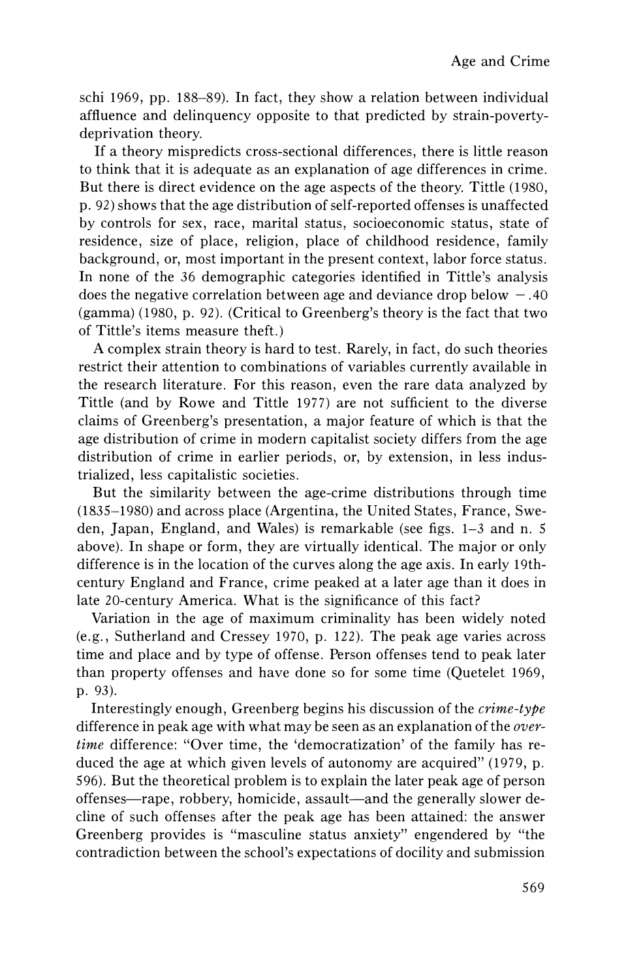schi 1969, pp. 188-89). In fact, they show a relation between individual affluence and delinquency opposite to that predicted by strain-povertydeprivation theory.

If a theory mispredicts cross-sectional differences, there is little reason to think that it is adequate as an explanation of age differences in crime. But there is direct evidence on the age aspects of the theory. Tittle (1980, p. 92) shows that the age distribution of self-reported offenses is unaffected by controls for sex, race, marital status, socioeconomic status, state of residence, size of place, religion, place of childhood residence, family background, or, most important in the present context, labor force status. In none of the 36 demographic categories identified in Tittle's analysis does the negative correlation between age and deviance drop below  $-.40$ (gamma) (1980, p. 92). (Critical to Greenberg's theory is the fact that two of Tittle's items measure theft.)

A complex strain theory is hard to test. Rarely, in fact, do such theories restrict their attention to combinations of variables currently available in the research literature. For this reason, even the rare data analyzed by Tittle (and by Rowe and Tittle 1977) are not sufficient to the diverse claims of Greenberg's presentation, a major feature of which is that the age distribution of crime in modern capitalist society differs from the age distribution of crime in earlier periods, or, by extension, in less industrialized, less capitalistic societies.

But the similarity between the age-crime distributions through time (1835-1980) and across place (Argentina, the United States, France, Sweden, Japan, England, and Wales) is remarkable (see figs. 1-3 and n. *5*  above). In shape or form, they are virtually identical. The major or only difference is in the location of the curves along the age axis. In early 19thcentury England and France, crime peaked at a later age than it does in late 20-century America. What is the significance of this fact?

Variation in the age of maximum criminality has been widely noted (e.g., Sutherland and Cressey 1970, p. 122). The peak age varies across time and place and by type of offense. Person offenses tend to peak later than property offenses and have done so for some time (Quetelet 1969, p. 93).

Interestingly enough, Greenberg begins his discussion of the *crime-type*  difference in peak age with what may be seen as an explanation of the *overtime* difference: "Over time, the 'democratization' of the family has reduced the age at which given levels of autonomy are acquired" (1979, p. 596). But the theoretical problem is to explain the later peak age of person offenses—rape, robbery, homicide, assault—and the generally slower decline of such offenses after the peak age has been attained: the answer Greenberg provides is "masculine status anxiety" engendered by "the contradiction between the school's expectations of docility and submission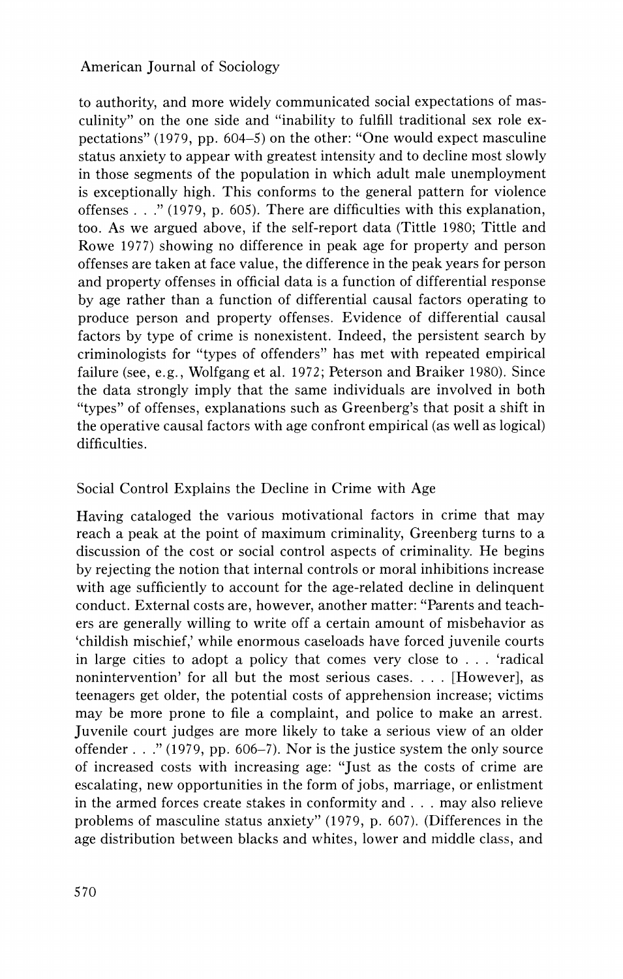to authority, and more widely communicated social expectations of masculinity" on the one side and "inability to fulfill traditional sex role expectations" (1979, pp. 604-5) on the other: "One would expect masculine status anxiety to appear with greatest intensity and to decline most slowly in those segments of the population in which adult male unemployment is exceptionally high. This conforms to the general pattern for violence offenses . . ." (1979, p. 605). There are difficulties with this explanation, too. As we argued above, if the self-report data (Tittle 1980; Tittle and Rowe 1977) showing no difference in peak age for property and person offenses are taken at face value, the difference in the peak years for person and property offenses in official data is a function of differential response by age rather than a function of differential causal factors operating to produce person and property offenses. Evidence of differential causal factors by type of crime is nonexistent. Indeed, the persistent search by criminologists for "types of offenders" has met with repeated empirical failure (see, e.g., Wolfgang et al. 1972; Peterson and Braiker 1980). Since the data strongly imply that the same individuals are involved in both "types" of offenses, explanations such as Greenberg's that posit a shift in the operative causal factors with age confront empirical (as well as logical) difficulties.

# Social Control Explains the Decline in Crime with Age

Having cataloged the various motivational factors in crime that may reach a peak at the point of maximum criminality, Greenberg turns to a discussion of the cost or social control aspects of criminality. He begins by rejecting the notion that internal controls or moral inhibitions increase with age sufficiently to account for the age-related decline in delinquent conduct. External costs are, however, another matter: "Parents and teachers are generally willing to write off a certain amount of misbehavior as 'childish mischief,' while enormous caseloads have forced juvenile courts in large cities to adopt a policy that comes very close to . . . 'radical nonintervention' for all but the most serious cases. . . . [However], as teenagers get older, the potential costs of apprehension increase; victims may be more prone to file a complaint, and police to make an arrest. Juvenile court judges are more likely to take a serious view of an older offender . . ." (1979, pp. 606-7). Nor is the justice system the only source of increased costs with increasing age: "Just as the costs of crime are escalating, new opportunities in the form of jobs, marriage, or enlistment in the armed forces create stakes in conformity and . . . may also relieve problems of masculine status anxiety" (1979, p. 607). (Differences in the age distribution between blacks and whites, lower and middle class, and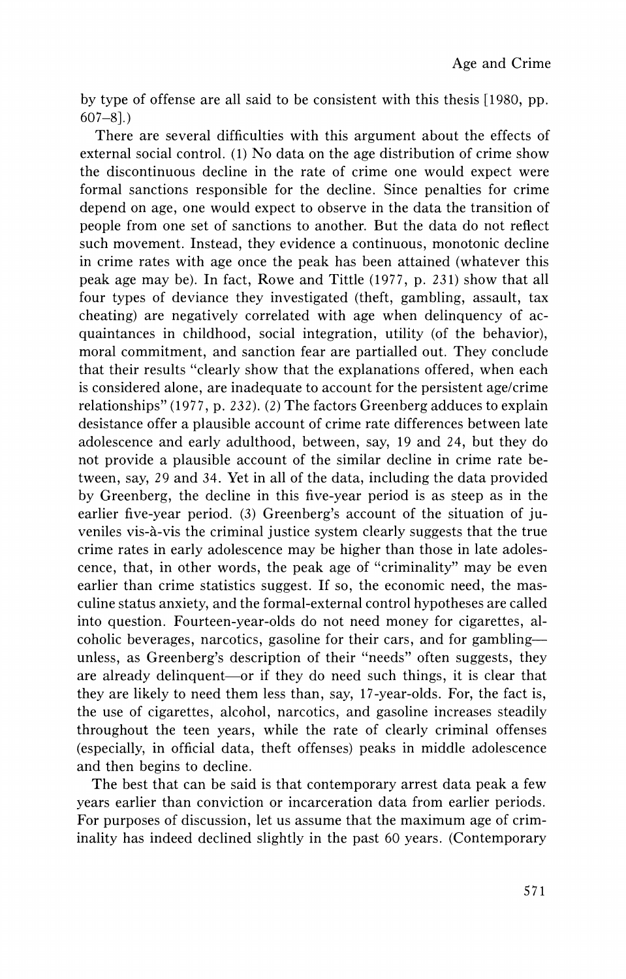by type of offense are all said to be consistent with this thesis [1980, pp. 607-81.)

There are several difficulties with this argument about the effects of external social control. (1) No data on the age distribution of crime show the discontinuous decline in the rate of crime one would expect were formal sanctions responsible for the decline. Since penalties for crime depend on age, one would expect to observe in the data the transition of people from one set of sanctions to another. But the data do not reflect such movement. Instead, they evidence a continuous, monotonic decline in crime rates with age once the peak has been attained (whatever this peak age may be). In fact, Rowe and Tittle (1977, p. 23 1) show that all four types of deviance they investigated (theft, gambling, assault, tax cheating) are negatively correlated with age when delinquency of acquaintances in childhood, social integration, utility (of the behavior), moral commitment, and sanction fear are partialled out. They conclude that their results "clearly show that the explanations offered, when each is considered alone, are inadequate to account for the persistent age/crime relationships" (1977, p. 232). (2) The factors Greenberg adduces to explain desistance offer a plausible account of crime rate differences between late adolescence and early adulthood, between, say, 19 and 24, but they do not provide a plausible account of the similar decline in crime rate between, say, 29 and 34. Yet in all of the data, including the data provided by Greenberg, the decline in this five-year period is as steep as in the earlier five-year period. (3) Greenberg's account of the situation of juveniles vis-à-vis the criminal justice system clearly suggests that the true crime rates in early adolescence may be higher than those in late adolescence, that, in other words, the peak age of "criminality" may be even earlier than crime statistics suggest. If so, the economic need, the masculine status anxiety, and the formal-external control hypotheses are called into question. Fourteen-year-olds do not need money for cigarettes, alcoholic beverages, narcotics, gasoline for their cars, and for gambling unless, as Greenberg's description of their "needs" often suggests, they are already delinquent—or if they do need such things, it is clear that they are likely to need them less than, say, 17-year-olds. For, the fact is, the use of cigarettes, alcohol, narcotics, and gasoline increases steadily throughout the teen years, while the rate of clearly criminal offenses (especially, in official data, theft offenses) peaks in middle adolescence and then begins to decline.

The best that can be said is that contemporary arrest data peak a few years earlier than conviction or incarceration data from earlier periods. For purposes of discussion, let us assume that the maximum age of criminality has indeed declined slightly in the past 60 years. (Contemporary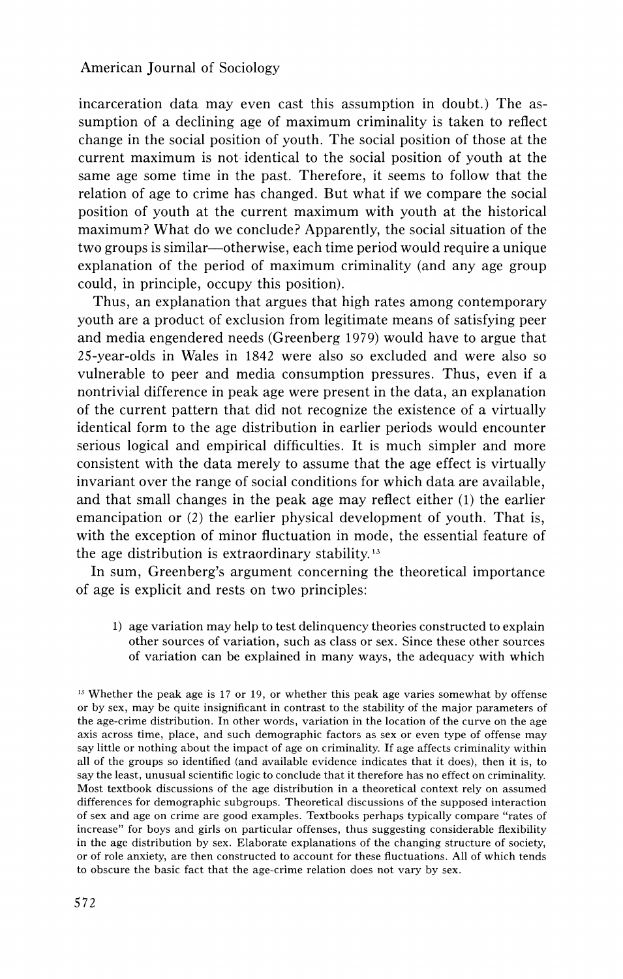incarceration data may even cast this assumption in doubt.) The assumption of a declining age of maximum criminality is taken to reflect change in the social position of youth. The social position of those at the current maximum is not identical to the social position of youth at the same age some time in the past. Therefore, it seems to follow that the relation of age to crime has changed. But what if we compare the social position of youth at the current maximum with youth at the historical maximum? What do we conclude? Apparently, the social situation of the two groups is similar-otherwise, each time period would require a unique explanation of the period of maximum criminality (and any age group could, in principle, occupy this position).

Thus, an explanation that argues that high rates among contemporary youth are a product of exclusion from legitimate means of satisfying peer and media engendered needs (Greenberg 1979) would have to argue that 25-year-olds in Wales in 1842 were also so excluded and were also so vulnerable to peer and media consumption pressures. Thus, even if a nontrivial difference in peak age were present in the data, an explanation of the current pattern that did not recognize the existence of a virtually identical form to the age distribution in earlier periods would encounter serious logical and empirical difficulties. It is much simpler and more consistent with the data merely to assume that the age effect is virtually invariant over the range of social conditions for which data are available, and that small changes in the peak age may reflect either (1) the earlier emancipation or (2) the earlier physical development of youth. That is, with the exception of minor fluctuation in mode, the essential feature of the age distribution is extraordinary stability. **l3** 

In sum, Greenberg's argument concerning the theoretical importance of age is explicit and rests on two principles:

1) age variation may help to test delinquency theories constructed to explain other sources of variation, such as class or sex. Since these other sources of variation can be explained in many ways, the adequacy with which

<sup>&</sup>lt;sup>3</sup> Whether the peak age is 17 or 19, or whether this peak age varies somewhat by offense or by sex, map be quite insignificant in contrast to the stability of the major parameters of the age-crime distribution. In other words, variation in the location of the curve on the age axis across time, place, and such demographic factors as sex or even type of offense map sap little or nothing about the impact of age on criminality. If age affects criminality within all of the groups so identified (and available evidence indicates that it does), then it is, to say the least, unusual scientific logic to conclude that it therefore has no effect on criminality. Most textbook discussions of the age distribution in a theoretical context rely on assumed differences for demographic subgroups. Theoretical discussions of the supposed interaction of sex and age on crime are good examples. Textbooks perhaps typically compare "rates of increase" for boys and girls on particular offenses, thus suggesting considerable flexibility in the age distribution by sex. Elaborate explanations of the changing structure of society, or of role anxiety, are then constructed to account for these fluctuations. All of which tends to obscure the basic fact that the age-crime relation does not vary by sex.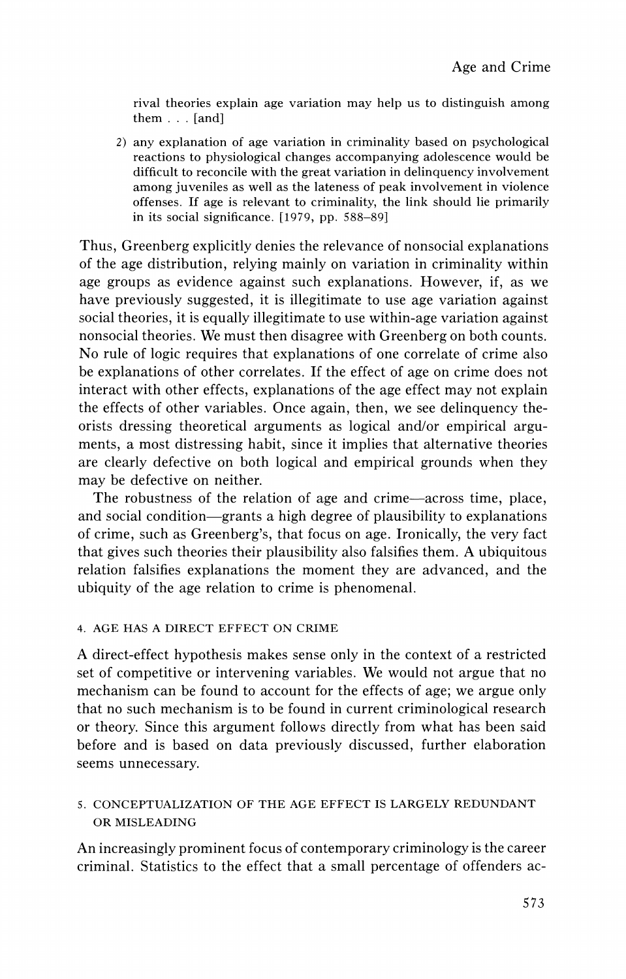rival theories explain age variation may help us to distinguish among them . . . [and]

2) any explanation of age variation in criminality based on psychological reactions to physiological changes accompanying adolescence would be difficult to reconcile with the great variation in delinquency involvement among juveniles as well as the lateness of peak involvement in violence offenses. If age is relevant to criminality, the link should lie primarily in its social significance. [1979, pp. 588-89]

Thus, Greenberg explicitly denies the relevance of nonsocial explanations of the age distribution, relying mainly on variation in criminality within age groups as evidence against such explanations. However, if, as we have previously suggested, it is illegitimate to use age variation against social theories, it is equally illegitimate to use within-age variation against nonsocial theories. We must then disagree with Greenberg on both counts. No rule of logic requires that explanations of one correlate of crime also be explanations of other correlates. If the effect of age on crime does not interact with other effects, explanations of the age effect may not explain the effects of other variables. Once again, then, we see delinquency theorists dressing theoretical arguments as logical and/or empirical arguments, a most distressing habit, since it implies that alternative theories are clearly defective on both logical and empirical grounds when they may be defective on neither.

The robustness of the relation of age and crime—across time, place, and social condition—grants a high degree of plausibility to explanations of crime, such as Greenberg's, that focus on age. Ironically, the very fact that gives such theories their plausibility also falsifies them. A ubiquitous relation falsifies explanations the moment they are advanced, and the ubiquity of the age relation to crime is phenomenal.

#### 4. AGE HAS A DIRECT EFFECT ON CRIME

A direct-effect hypothesis makes sense only in the context of a restricted set of competitive or intervening variables. We would not argue that no mechanism can be found to account for the effects of age; we argue only that no such mechanism is to be found in current criminological research or theory. Since this argument follows directly from what has been said before and is based on data previously discussed, further elaboration seems unnecessary.

### 5. CONCEPTUALIZATION OF THE AGE EFFECT IS LARGELY REDUNDANT OR MISLEADING

An increasingly prominent focus of contemporary criminology is the career criminal. Statistics to the effect that a small percentage of offenders ac-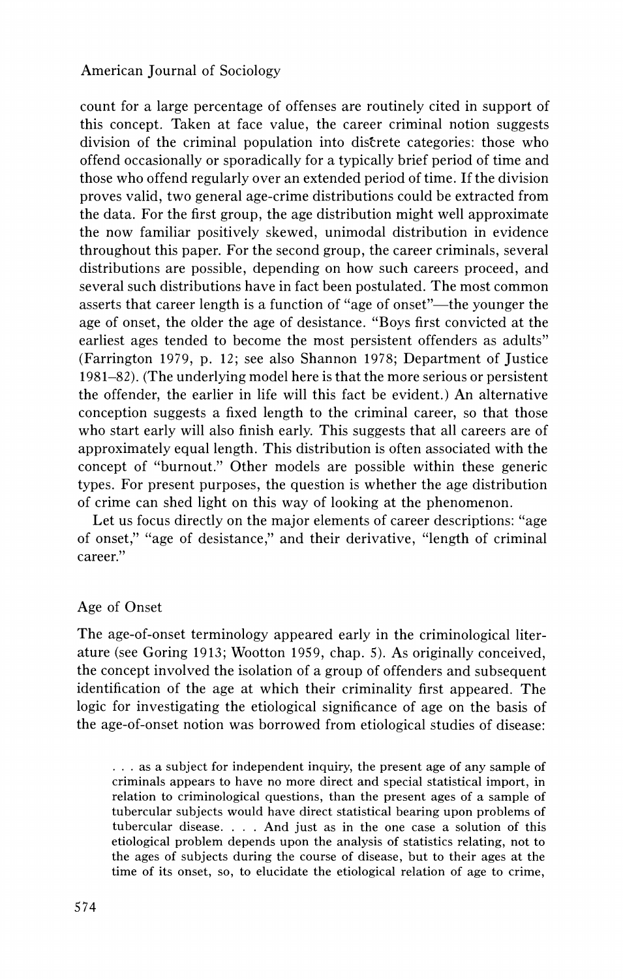count for a large percentage of offenses are routinely cited in support of this concept. Taken at face value, the career criminal notion suggests division of the criminal population into distrete categories: those who offend occasionally or sporadically for a typically brief period of time and those who offend regularly over an extended period of time. If the division proves valid, two general age-crime distributions could be extracted from the data. For the first group, the age distribution might well approximate the now familiar positively skewed, unimodal distribution in evidence throughout this paper. For the second group, the career criminals, several distributions are possible, depending on how such careers proceed, and several such distributions have in fact been postulated. The most common asserts that career length is a function of "age of onset"—the younger the age of onset, the older the age of desistance. "Boys first convicted at the earliest ages tended to become the most persistent offenders as adults" (Farrington 1979, p. 12; see also Shannon 1978; Department of Justice 1981-82). (The underlying model here is that the more serious or persistent the offender, the earlier in life will this fact be evident.) An alternative conception suggests a fixed length to the criminal career, so that those who start early will also finish early. This suggests that all careers are of approximately equal length. This distribution is often associated with the concept of "burnout." Other models are possible within these generic types. For present purposes, the question is whether the age distribution of crime can shed light on this way of looking at the phenomenon.

Let us focus directly on the major elements of career descriptions: "age of onset," "age of desistance," and their derivative, "length of criminal career."

## Age of Onset

The age-of-onset terminology appeared early in the criminological literature (see Goring 1913; Wootton 1959, chap. *5).* As originally conceived, the concept involved the isolation of a group of offenders and subsequent identification of the age at which their criminality first appeared. The logic for investigating the etiological significance of age on the basis of the age-of-onset notion was borrowed from etiological studies of disease:

. . . as a subject for independent inquiry, the present age of any sample of criminals appears to have no more direct and special statistical import, in relation to criminological questions, than the present ages of a sample of tubercular subjects would have direct statistical bearing upon problems of tubercular disease. . . . And just as in the one case a solution of this etiological problem depends upon the analysis of statistics relating, not to the ages of subjects during the course of disease, but to their ages at the time of its onset, so, to elucidate the etiological relation of age to crime,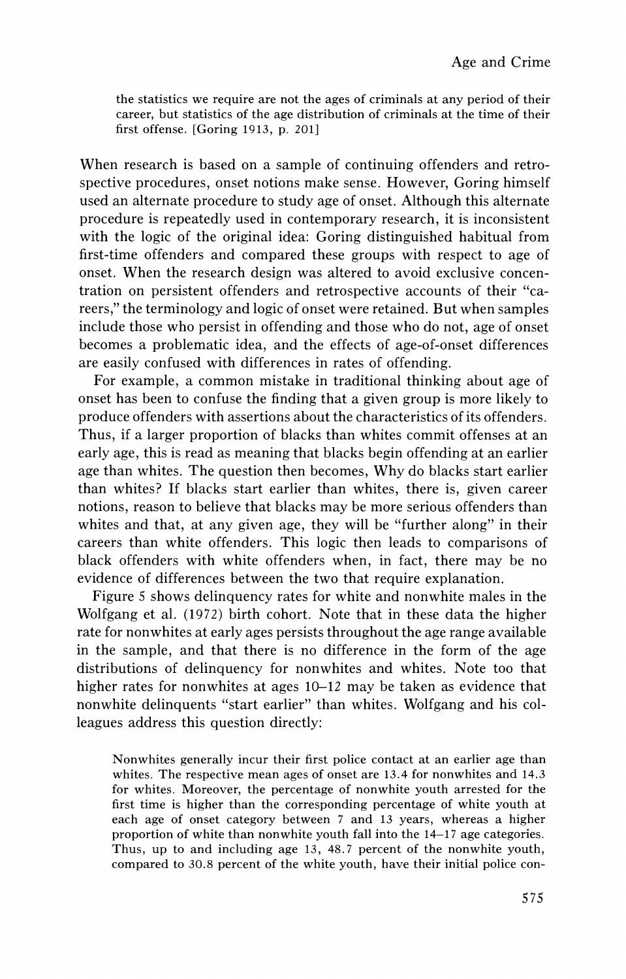the statistics we require are not the ages of criminals at any period of their career, but statistics of the age distribution of criminals at the time of their first offense. [Goring 1913, p. 2011

When research is based on a sample of continuing offenders and retrospective procedures, onset notions make sense. However, Goring himself used an alternate procedure to study age of onset. Although this alternate procedure is repeatedly used in contemporary research, it is inconsistent with the logic of the original idea: Goring distinguished habitual from first-time offenders and compared these groups with respect to age of onset. When the research design was altered to avoid exclusive concentration on persistent offenders and retrospective accounts of their "careers," the terminology and logic of onset were retained. But when samples include those who persist in offending and those who do not, age of onset becomes a problematic idea, and the effects of age-of-onset differences are easily confused with differences in rates of offending.

For example, a common mistake in traditional thinking about age of onset has been to confuse the finding that a given group is more likely to produce offenders with assertions about the characteristics of its offenders. Thus, if a larger proportion of blacks than whites commit offenses at an early age, this is read as meaning that blacks begin offending at an earlier age than whites. The question then becomes, Why do blacks start earlier than whites? If blacks start earlier than whites, there is, given career notions, reason to believe that blacks may be more serious offenders than whites and that, at any given age, they will be "further along" in their careers than white offenders. This logic then leads to comparisons of black offenders with white offenders when, in fact, there may be no evidence of differences between the two that require explanation.

Figure *5* shows delinquency rates for white and nonwhite males in the Wolfgang et al. (1972) birth cohort. Note that in these data the higher rate for nonwhites at early ages persists throughout the age range available in the sample, and that there is no difference in the form of the age distributions of delinquency for nonwhites and whites. Note too that higher rates for nonwhites at ages 10–12 may be taken as evidence that nonwhite delinquents "start earlier" than whites. Wolfgang and his colleagues address this question directly:

Nonwhites generally incur their first police contact at an earlier age than whites. The respective mean ages of onset are 13.4 for nonwhites and 14.3 for whites. Moreover, the percentage of nonwhite youth arrested for the first time is higher than the corresponding percentage of white youth at each age of onset category between 7 and 13 years, whereas a higher proportion of white than nonwhite youth fall into the 14-17 age categories. Thus, up to and including age 13, 48.7 percent of the nonwhite youth, compared to 30.8 percent of the white youth, have their initial police con-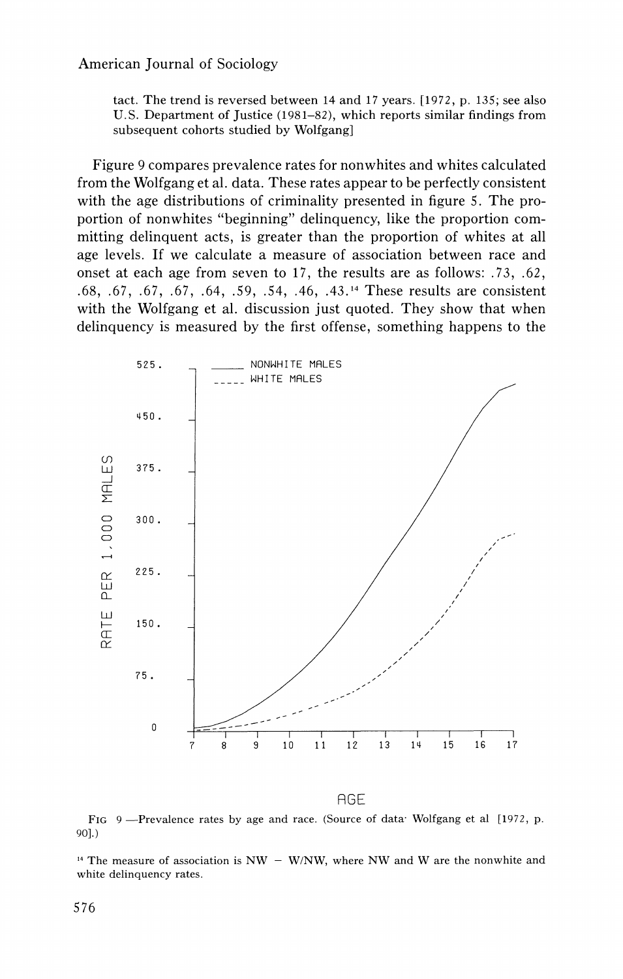tact. The trend is reversed between 14 and 17 years. [1972, p. 135; see also U.S. Department of Justice (1981-82), which reports similar findings from subsequent cohorts studied by Wolfgang]

Figure 9 compares prevalence rates for nonwhites and whites calculated from the Wolfgang et al. data. These rates appear to be perfectly consistent with the age distributions of criminality presented in figure *5.* The proportion of nonwhites "beginning" delinquency, like the proportion committing delinquent acts, is greater than the proportion of whites at all age levels. If we calculate a measure of association between race and onset at each age from seven to 17, the results are as follows: .73, .62, .68, .67, .67, .67, .64, .59, .54, .46, .43.14 These results are consistent with the Wolfgang et al. discussion just quoted. They show that when delinquency is measured by the first offense, something happens to the



AGE

FIG 9 -Prevalence rates by age and race. (Source of data: Wolfgang et al  $[1972, p.$ 901.)

<sup>14</sup> The measure of association is NW - W/NW, where NW and W are the nonwhite and white delinquency rates.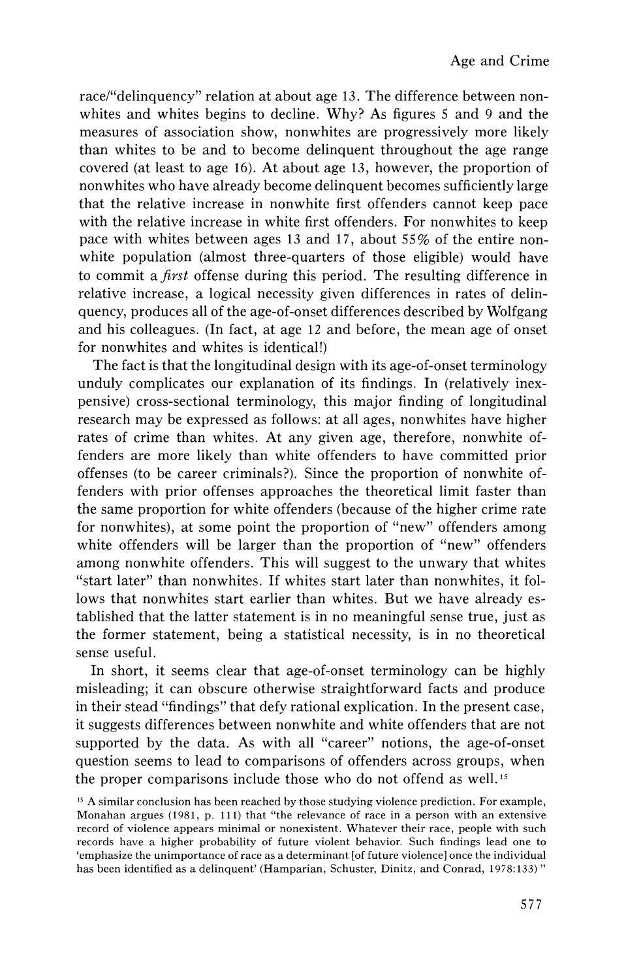race/"delinquency" relation at about age 13. The difference between nonwhites and whites begins to decline. Why? As figures 5 and 9 and the measures of association show, nonwhites are progressively more likely than whites to be and to become delinquent throughout the age range covered (at least to age 16). At about age 13, however, the proportion of nonwhites who have already become delinquent becomes sufficiently large that the relative increase in nonwhite first offenders cannot keep pace with the relative increase in white first offenders. For nonwhites to keep pace with whites between ages 13 and 17, about 55% of the entire nonwhite population (almost three-quarters of those eligible) would have to commit a *first* offense during this period. The resulting difference in relative increase, a logical necessity given differences in rates of delinquency, produces all of the age-of-onset differences described by Wolfgang and his colleagues. (In fact, at age 12 and before, the mean age of onset for nonwhites and whites is identical!)

The fact is that the longitudinal design with its age-of-onset terminology unduly complicates our explanation of its findings. In (relatively inexpensive) cross-sectional terminology, this major finding of longitudinal research may be expressed as follows: at all ages, nonwhites have higher rates of crime than whites. At any given age, therefore, nonwhite offenders are more likely than white offenders to have committed prior offenses (to be career criminals?). Since the proportion of nonwhite offenders with prior offenses approaches the theoretical limit faster than the same proportion for white offenders (because of the higher crime rate for nonwhites), at some point the proportion of "new" offenders among white offenders will be larger than the proportion of "new" offenders among nonwhite offenders. This will suggest to the unwary that whites "start later" than nonwhites. If whites start later than nonwhites, it follows that nonwhites start earlier than whites. But we have already established that the latter statement is in no meaningful sense true, just as the former statement, being a statistical necessity, is in no theoretical sense useful.

In short, it seems clear that age-of-onset terminology can be highly misleading; it can obscure otherwise straightforward facts and produce in their stead "findings" that defy rational explication. In the present case, it suggests differences between nonwhite and white offenders that are not supported by the data. As with all "career" notions, the age-of-onset question seems to lead to comparisons of offenders across groups, when the proper comparisons include those who do not offend as well.<sup>15</sup>

**<sup>&#</sup>x27;j** A similar conclusion has been reached by those studying violence prediction. For example, Monahan argues (1981, p. 111) that "the relevance of race in a person with an extensive record of violence appears minimal or nonexistent. Whatever their race, people with such records have a higher probability of future violent behavior. Such findings lead one to 'emphasize the unimportance of race as a determinant [of future violence] once the individual has been identified as a delinquent' (Hamparian, Schuster, Dinitz, and Conrad, 1978:133) "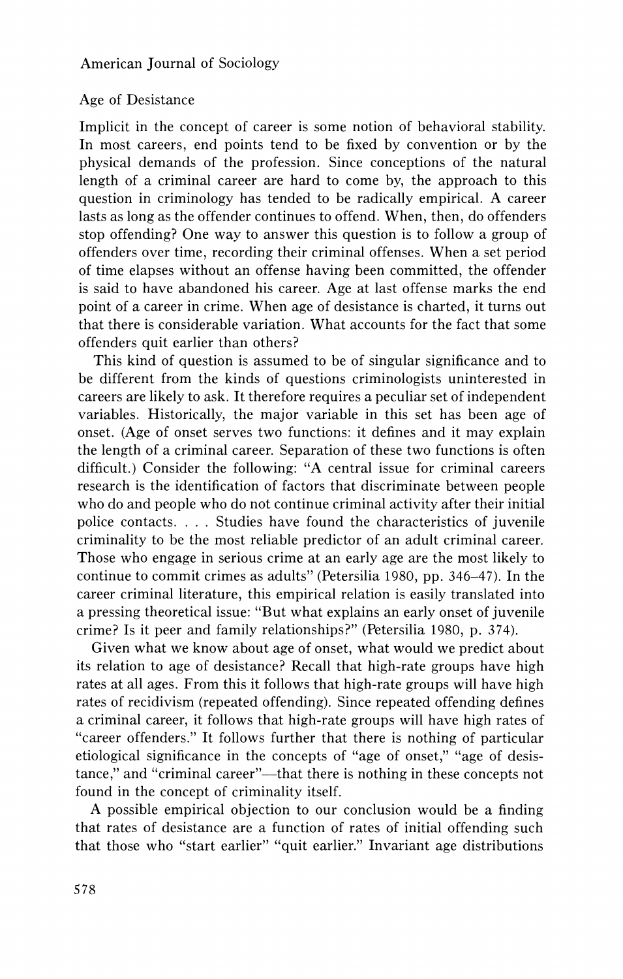### Age of Desistance

Implicit in the concept of career is some notion of behavioral stability. In most careers, end points tend to be fixed by convention or by the physical demands of the profession. Since conceptions of the natural length of a criminal career are hard to come by, the approach to this question in criminology has tended to be radically empirical. A career lasts as long as the offender continues to offend. When, then, do offenders stop offending? One way to answer this question is to follow a group of offenders over time, recording their criminal offenses. When a set period of time elapses without an offense having been committed, the offender is said to have abandoned his career. Age at last offense marks the end point of a career in crime. When age of desistance is charted, it turns out that there is considerable variation. What accounts for the fact that some offenders quit earlier than others?

This kind of question is assumed to be of singular significance and to be different from the kinds of questions criminologists uninterested in careers are likely to ask. It therefore requires a peculiar set of independent variables. Historically, the major variable in this set has been age of onset. (Age of onset serves two functions: it defines and it may explain the length of a criminal career. Separation of these two functions is often difficult.) Consider the following: "A central issue for criminal careers research is the identification of factors that discriminate between people who do and people who do not continue criminal activity after their initial police contacts. . . . Studies have found the characteristics of juvenile criminality to be the most reliable predictor of an adult criminal career. Those who engage in serious crime at an early age are the most likely to continue to commit crimes as adults" (Petersilia 1980, pp. 346-47). In the career criminal literature, this empirical relation is easily translated into a pressing theoretical issue: "But what explains an early onset of juvenile crime? Is it peer and family relationships?" (Petersilia 1980, p. 374).

Given what we know about age of onset, what would we predict about its relation to age of desistance? Recall that high-rate groups have high rates at all ages. From this it follows that high-rate groups will have high rates of recidivism (repeated offending). Since repeated offending defines a criminal career, it follows that high-rate groups will have high rates of "career offenders." It follows further that there is nothing of particular etiological significance in the concepts of "age of onset," "age of desistance," and "criminal career"—that there is nothing in these concepts not found in the concept of criminality itself.

A possible empirical objection to our conclusion would be a finding that rates of desistance are a function of rates of initial offending such that those who "start earlier" "quit earlier." Invariant age distributions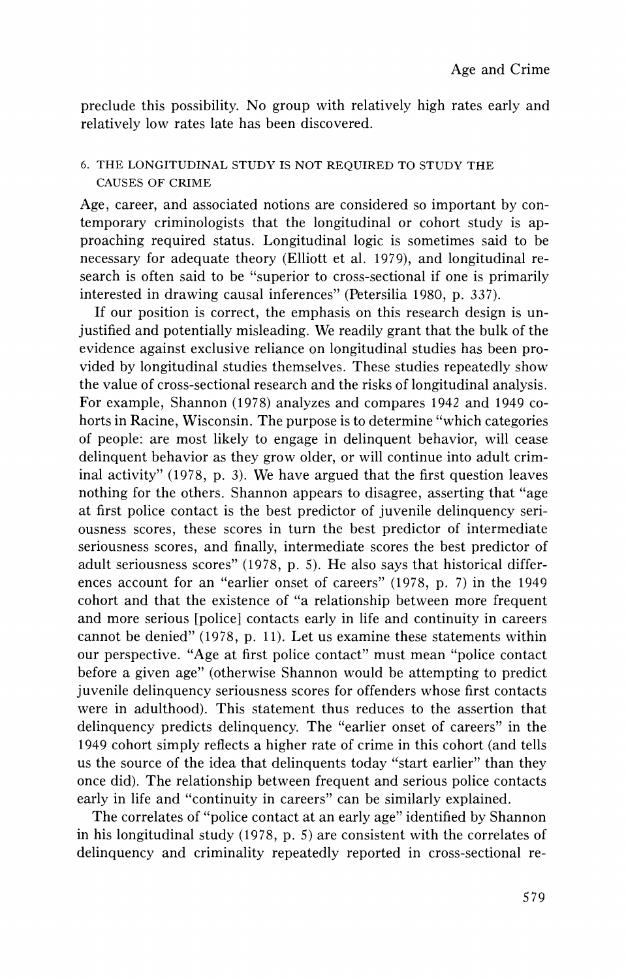preclude this possibility. No group with relatively high rates early and relatively low rates late has been discovered.

### 6. THE LONGITUDINAL STUDY IS NOT REQUIRED TO STUDY THE CAUSES OF CRIME

Age, career, and associated notions are considered so important by contemporary criminologists that the longitudinal or cohort study is approaching required status. Longitudinal logic is sometimes said to be necessary for adequate theory (Elliott et al. 1979), and longitudinal research is often said to be "superior to cross-sectional if one is primarily interested in drawing causal inferences" (Petersilia 1980, p. 337).

If our position is correct, the emphasis on this research design is unjustified and potentially misleading. We readily grant that the bulk of the evidence against exclusive reliance on longitudinal studies has been provided by longitudinal studies themselves. These studies repeatedly show the value of cross-sectional research and the risks of longitudinal analysis. For example, Shannon (1978) analyzes and compares 1942 and 1949 cohorts in Racine, Wisconsin. The purpose is to determine "which categories of people: are most likely to engage in delinquent behavior, will cease delinquent behavior as they grow older, or will continue into adult criminal activity" (1978, p. 3). We have argued that the first question leaves nothing for the others. Shannon appears to disagree, asserting that "age at first police contact is the best predictor of juvenile delinquency seriousness scores, these scores in turn the best predictor of intermediate seriousness scores, and finally, intermediate scores the best predictor of adult seriousness scores" (1978, p. 5). He also says that historical differences account for an "earlier onset of careers" (1978, p. 7) in the 1949 cohort and that the existence of "a relationship between more frequent and more serious [police] contacts early in life and continuity in careers cannot be denied" (1978, p. 11). Let us examine these statements within our perspective. "Age at first police contact" must mean "police contact before a given age" (otherwise Shannon would be attempting to predict juvenile delinquency seriousness scores for offenders whose first contacts were in adulthood). This statement thus reduces to the assertion that delinquency predicts delinquency. The "earlier onset of careers" in the 1949 cohort simply reflects a higher rate of crime in this cohort (and tells us the source of the idea that delinquents today "start earlier" than they once did). The relationship between frequent and serious police contacts early in life and "continuity in careers" can be similarly explained.

The correlates of "police contact at an early age" identified by Shannon in his longitudinal study (1978, p. *5 )* are consistent with the correlates of delinquency and criminality repeatedly reported in cross-sectional re-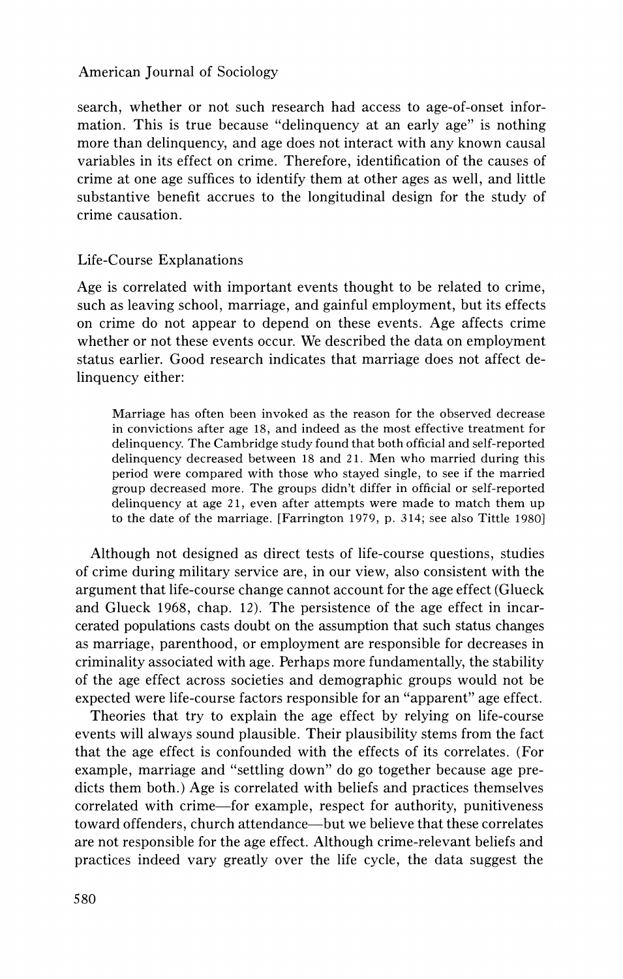search, whether or not such research had access to age-of-onset information. This is true because "delinquency at an early age" is nothing more than delinquency, and age does not interact with any known causal variables in its effect on crime. Therefore, identification of the causes of crime at one age suffices to identify them at other ages as well, and little substantive benefit accrues to the longitudinal design for the study of crime causation.

# Life-Course Explanations

Age is correlated with important events thought to be related to crime, such as leaving school, marriage, and gainful employment, but its effects on crime do not appear to depend on these events. Age affects crime whether or not these events occur. We described the data on employment status earlier. Good research indicates that marriage does not affect delinquency either:

Marriage has often been invoked as the reason for the observed decrease in convictions after age 18, and indeed as the most effective treatment for delinquency. The Cambridge study found that both official and self-reported delinquency decreased between 18 and 21. Men who married during this period were compared with those who stayed single, to see if the married group decreased more. The groups didn't differ in official or self-reported delinquency at age 21, even after attempts were made to match them up to the date of the marriage. [Farrington 1979, p. 314; see also Tittle 1980]

Although not designed as direct tests of life-course questions, studies of crime during military service are, in our view, also consistent with the argument that life-course change cannot account for the age effect (Glueck and Glueck 1968, chap. 12). The persistence of the age effect in incarcerated populations casts doubt on the assumption that such status changes as marriage, parenthood, or employment are responsible for decreases in criminality associated with age. Perhaps more fundamentally, the stability of the age effect across societies and demographic groups would not be expected were life-course factors responsible for an "apparent" age effect.

Theories that try to explain the age effect by relying on life-course events will always sound plausible. Their plausibility stems from the fact that the age effect is confounded with the effects of its correlates. (For example, marriage and "settling down" do go together because age predicts them both.) Age is correlated with beliefs and practices themselves correlated with crime-for example, respect for authority, punitiveness toward offenders, church attendance-but we believe that these correlates are not responsible for the age effect. Although crime-relevant beliefs and practices indeed vary greatly over the life cycle, the data suggest the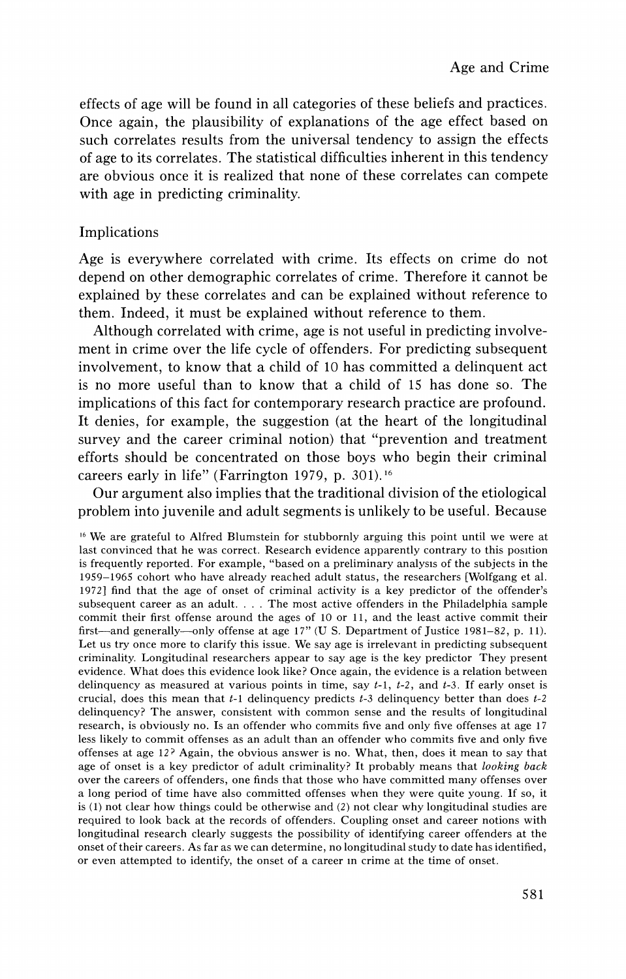effects of age will be found in all categories of these beliefs and practices. Once again, the plausibility of explanations of the age effect based on such correlates results from the universal tendency to assign the effects of age to its correlates. The statistical difficulties inherent in this tendency are obvious once it is realized that none of these correlates can compete with age in predicting criminality.

### Implications

Age is everywhere correlated with crime. Its effects on crime do not depend on other demographic correlates of crime. Therefore it cannot be explained by these correlates and can be explained without reference to them. Indeed, it must be explained without reference to them.

Although correlated with crime, age is not useful in predicting involvement in crime over the life cycle of offenders. For predicting subsequent involvement, to know that a child of 10 has committed a delinquent act is no more useful than to know that a child of 15 has done so. The implications of this fact for contemporary research practice are profound. It denies, for example, the suggestion (at the heart of the longitudinal survey and the career criminal notion) that "prevention and treatment efforts should be concentrated on those boys who begin their criminal careers early in life" (Farrington 1979, p. 301).<sup>16</sup>

Our argument also implies that the traditional division of the etiological problem into juvenile and adult segments is unlikely to be useful. Because

l6 We are grateful to Alfred Blumstein for stubbornly arguing this point until we were at last convinced that he was correct. Research evidence apparently contrary to this position is frequently reported. For example, "based on a preliminary analysis of the subjects in the 1959-1965 cohort who have already reached adult status, the researchers [Wolfgang et al. 19721 find that the age of onset of criminal activity is a key predictor of the offender's subsequent career as an adult. . . . The most active offenders in the Philadelphia sample commit their first offense around the ages of 10 or 11, and the least active commit their first-and generally-only offense at age 17" **(U** S. Department of Justice 1981-82, p. 11). Let us try once more to clarify this issue. We say age is irrelevant in predicting subsequent criminality. Longitudinal researchers appear to say age is the key predictor They present evidence. What does this evidence look like? Once again, the evidence is a relation between delinquency as measured at various points in time, say  $t-1$ ,  $t-2$ , and  $t-3$ . If early onset is crucial, does this mean that  $t-1$  delinquency predicts  $t-3$  delinquency better than does  $t-2$ delinquency? The answer, consistent with common sense and the results of longitudinal research, is obviously no. Is an offender who commits five and only five offenses at age 17 less likely to commit offenses as an adult than an offender who commits five and only five offenses at age 12? Again, the obvious answer is no. What, then, does it mean to say that age of onset is a key predictor of adult criminality? It probably means that **looking** back over the careers of offenders, one finds that those who have committed many offenses over a long period of time have also committed offenses when they were quite young. If so, it is (1) not clear how things could be otherwise and (2) not clear why longitudinal studies are required to look back at the records of offenders. Coupling onset and career notions with longitudinal research clearly suggests the possibility of identifying career offenders at the onset of their careers. As far as we can determine, no longitudinal study to date has identified, or even attempted to identify, the onset of a career in crime at the time of onset.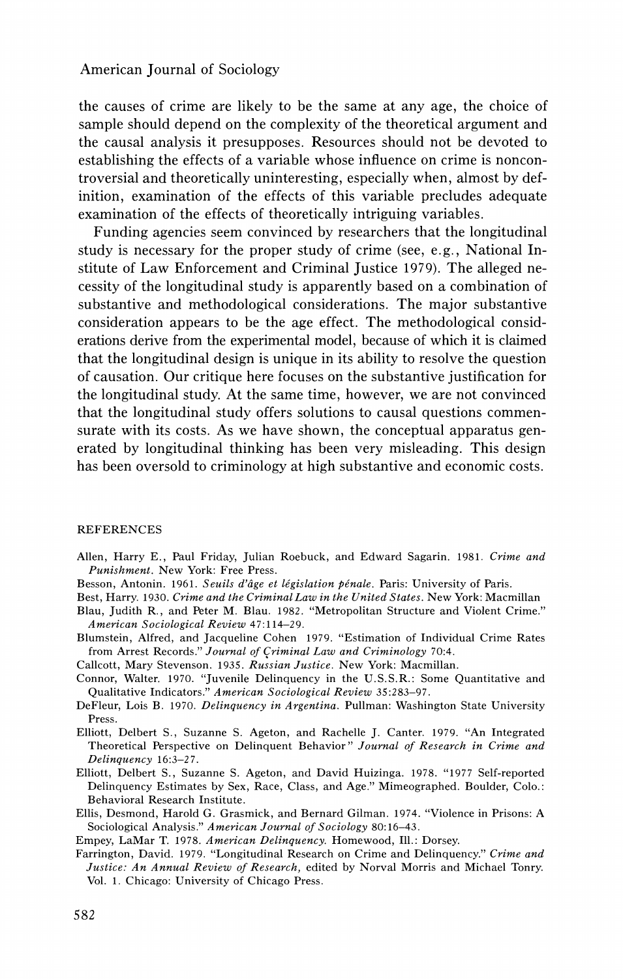the causes of crime are likely to be the same at any age, the choice of sample should depend on the complexity of the theoretical argument and the causal analysis it presupposes. Resources should not be devoted to establishing the effects of a variable whose influence on crime is noncontroversial and theoretically uninteresting, especially when, almost by definition, examination of the effects of this variable precludes adequate examination of the effects of theoretically intriguing variables.

Funding agencies seem convinced by researchers that the longitudinal study is necessary for the proper study of crime (see, e.g., National Institute of Law Enforcement and Criminal Justice 1979). The alleged necessity of the longitudinal study is apparently based on a combination of substantive and methodological considerations. The major substantive consideration appears to be the age effect. The methodological considerations derive from the experimental model, because of which it is claimed that the longitudinal design is unique in its ability to resolve the question of causation. Our critique here focuses on the substantive justification for the longitudinal study. At the same time, however, we are not convinced that the longitudinal study offers solutions to causal questions commensurate with its costs. As we have shown, the conceptual apparatus generated by longitudinal thinking has been very misleading. This design has been oversold to criminology at high substantive and economic costs.

#### REFERENCES

- Allen, Harry E., Paul Friday, Julian Roebuck, and Edward Sagarin. 1981. *Crime and Punishment.* New York: Free Press.
- Besson, Antonin. 1961. *Seuils d'âge et législation pénale*. Paris: University of Paris.
- Best, Harry. 1930. *Crime and the Criminal Law in the United States.* New York: Macmillan
- Blau, Judith R., and Peter M. Blau. 1982. "Metropolitan Structure and Violent Crime." *American Sociological Review* 47: 114-29.
- Blumstein, Alfred, and Jacqueline Cohen 1979. "Estimation of Individual Crime Rates from Arrest Records." *Journal of Criminal Law and Criminology* 70:4.
- Callcott, Mary Stevenson. 1935. *Russian Justice.* New York: Macmillan.
- Connor, Walter. 1970. "Juvenile Delinquency in the U.S.S.R.: Some Quantitative and Qualitative Indicators." *American Sociological Review* 35:283-97.
- DeFleur, Lois B. 1970. *Delinquency in Argentina.* Pullman: Washington State University Press.
- Elliott, Delbert S., Suzanne S. Ageton, and Rachelle J. Canter. 1979. "An Integrated Theoretical Perspective on Delinquent Behavior" *Journal of Research in Crime and Delinquency* 16:3-27.
- Elliott, Delbert S., Suzanne S. Ageton, and David Huizinga. 1978. "1977 Self-reported Delinquency Estimates by Sex, Race, Class, and Age." Mimeographed. Boulder, Colo.: Behavioral Research Institute.
- Ellis, Desmond, Harold G. Grasmick, and Bernard Gilman. 1974. "Violence in Prisons: A Sociological Analysis." *American Journal of Sociology* 80:16-43
- Empey, LaMar T. 1978. *American Delinquency.* Homewood, Ill.: Dorsey.
- Farrington, David. 1979. "Longitudinal Research on Crime and Delinquency." *Crime and Justice: An Annual Review of Research,* edited by Norval Morris and Michael Tonry. Vol. 1. Chicago: University of Chicago Press.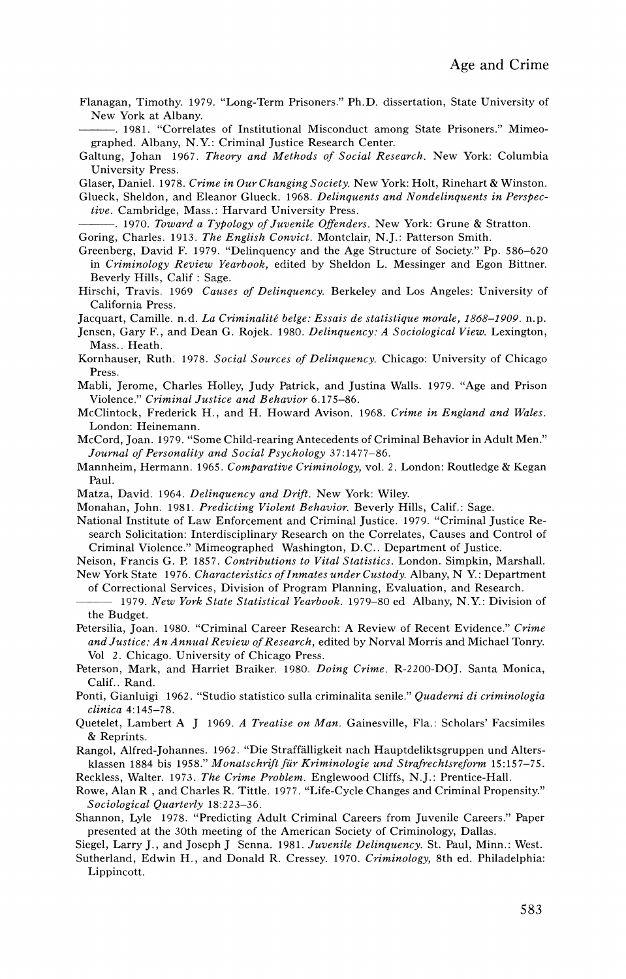*Flanagan, Timothy. 1979. "Long-Term Prisoners." Ph.D. dissertation, State University of New York at Albany.* 

-. *1981. "Correlates of Institutional Misconduct among State Prisoners." Mimeographed. Albany, N.Y.: Criminal Justice Research Center.* 

*Galtung, Johan 1967. Theory and Methods of Social Research. New York: Columbia University Press* 

Glaser, Daniel. 1978. Crime in Our Changing Society. New York: Holt, Rinehart & Winston.

- *Glueck, Sheldon, and Eleanor Glueck. 1968. Delinquents and Nondelinquents in Perspective. Cambridge, Mass.: Harvard University Press.*
- -. *1970. Toward a Typology ofJuvenile Offenders. New York: Grune* & *Stratton. Goring, Charles. 1913. The English Convict. Montclair, N.J.: Patterson Smith.*
- *Greenberg, David F. 1979. "Delinquency and the Age Structure of Society." Pp. 586-620 in Criminology Review Yearbook, edited by Sheldon L. Messinger and Egon Bittner. Beverly Hills, Calif* : *Sage.*
- *Hirschi, Travis. 1969 Causes of Delinquency. Berkeley and Los Angeles: University of California Press.*
- Jacquart, Camille, n.d. La Criminalité belge: Essais de statistique morale, 1868-1909, n.p.
- *Jensen, Gary F., and Dean G. Rojek. 1980. Delinquency: A Sociological View. Lexington, Mass.. Heath.*
- *Kornhauser, Ruth. 1978. Social Sources of Delinquency. Chicago: University of Chicago Press.*
- *Mabli, Jerome, Charles Holley, Judy Patrick, and Justina Walls. 1979. "Age and Prison Violence." Criminal Justice and Behavior 6.175-86.*
- *McClintock, Frederick H., and H. Howard Avison. 1968. Crime in England and Wales. London: Heinemann.*
- *McCord, Joan. 1979. "Some Child-rearing Antecedents of Criminal Behavior in Adult Men." Journal of Personality and Social Psychology 37:1477-86.*
- *Mannheim, Hermann. 1965. Comparative Crinzinology, vol. 2. London: Routledge* & *Kegan Paul.*

*Matza, David. 1964. Delinquency and Drift. New York: Wiley.* 

*Monahan, John. 1981. Predicting Violent Behavior. Beverly Hills, Calif.: Sage.* 

- *National Institute of Law Enforcement and Criminal Justice. 1979. "Criminal Justice Research Solicitation: Interdisciplinary Research on the Correlates, Causes and Control of Criminal Violence." Mimeographed Washington, D.C.. Department of Justice.*  Monahan, John. 1981. *Predicting Violent Behavior*. Beverly Hills, Calif.: Sage.<br>
National Institute of Law Enforcement and Criminal Justice. 1979. "Criminal Justice Re-<br>
search Solicitation: Interdisciplinary Research on
- *Neison, Francis G. P. 1857. Contributions to Vital Statistics. London. Simpkin, Marshall. New York State 1976. Characteristics of Inmates under Custody. Albany, N Y.: Department*
- *of Correctional Services, Division of Program Planning, Evaluation, and Research.*
- *the Budget. Petersilia, Joan. 1980. "Criminal Career Research: A Review of Recent Evidence." Crime and Justice: An Annual Review of Research, edited by Norval Morris and Michael Tonry. Vol 2. Chicago. University of Chicago Press.*
- Peterson, Mark, and Harriet Braiker. 1980. *Doing Crime*. R-2200-DOJ. Santa Monica, *Calif.. Rand.*
- *Ponti, Gianluigi 1962. "Studio statistic0 sulla criminalita senile." Quaderni di criminologia clinica 4: 145-78.*
- *Quetelet, Lambert A J 1969. A Treatise on man. Gainesville, Fla.: Scholars' Facsimiles*  & *Reprints.*
- *Rangol, Alfred-Johannes. 1962. "Die Straffalligkeit nach Hauptdeliktsgruppen und Alters*klassen 1884 bis 1958." Monatschrift für Kriminologie und Strafrechtsreform 15:157-75.

*Reckless, Walter. 1973. The Crime Problenz. Englewood Cliffs, N.J.: Prentice-Hall.* 

- *Rowe, Alan R* , *and Charles R. Tittle. 1977. "Life-Cycle Changes and Criminal Propensity." Sociological Quarterly 18:223-36.*
- *Shannon, Lyle 1978. "Predicting Adult Criminal Careers from Juvenile Careers." Paper presented at the 30th meeting of the American Society of Criminology, Dallas.*
- *Siegel, Larry J., and Joseph J Senna. 1981. Juvenile Delinquency. St. Paul, Minn.: West. Sutherland, Edwin H., and Donald R. Cressey. 1970. Criminology, 8th ed. Philadelphia: Lippincott.*